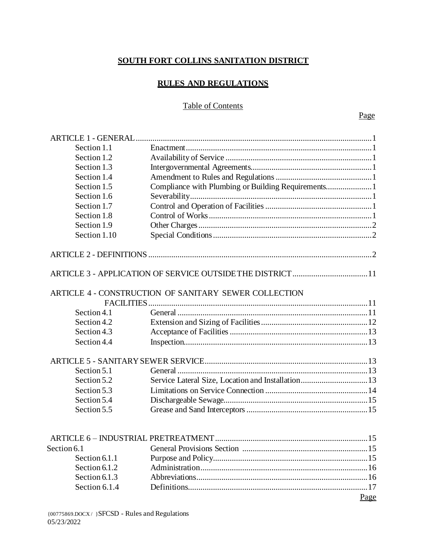# **SOUTH FORT COLLINS SANITATION DISTRICT**

# **RULES AND REGULATIONS**

# Table of Contents

| Section 1.1                  |                                                            |      |
|------------------------------|------------------------------------------------------------|------|
| Section 1.2                  |                                                            |      |
| Section 1.3                  |                                                            |      |
| Section 1.4                  |                                                            |      |
| Section 1.5                  | Compliance with Plumbing or Building Requirements1         |      |
| Section 1.6                  |                                                            |      |
| Section 1.7                  |                                                            |      |
| Section 1.8                  |                                                            |      |
| Section 1.9                  |                                                            |      |
| Section 1.10                 |                                                            |      |
|                              |                                                            |      |
|                              | ARTICLE 3 - APPLICATION OF SERVICE OUTSIDE THE DISTRICT 11 |      |
|                              |                                                            |      |
|                              | ARTICLE 4 - CONSTRUCTION OF SANITARY SEWER COLLECTION      |      |
|                              |                                                            |      |
| Section 4.1                  |                                                            |      |
| Section 4.2                  |                                                            |      |
| Section 4.3                  |                                                            |      |
| Section 4.4                  |                                                            |      |
|                              |                                                            |      |
| Section 5.1                  |                                                            |      |
| Section 5.2                  | Service Lateral Size, Location and Installation 13         |      |
| Section 5.3                  |                                                            |      |
| Section 5.4                  |                                                            |      |
| Section 5.5                  |                                                            |      |
|                              |                                                            |      |
|                              |                                                            |      |
| Section 6.1<br>Section 6.1.1 |                                                            |      |
|                              |                                                            |      |
| Section 6.1.2                |                                                            |      |
| Section 6.1.3                |                                                            |      |
| Section 6.1.4                |                                                            |      |
|                              |                                                            | Page |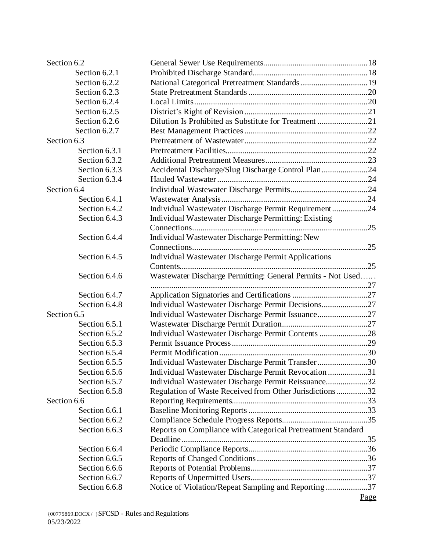| Section 6.2   |                                                              |      |
|---------------|--------------------------------------------------------------|------|
| Section 6.2.1 |                                                              |      |
| Section 6.2.2 | National Categorical Pretreatment Standards 19               |      |
| Section 6.2.3 |                                                              |      |
| Section 6.2.4 |                                                              |      |
| Section 6.2.5 |                                                              |      |
| Section 6.2.6 |                                                              |      |
| Section 6.2.7 |                                                              |      |
| Section 6.3   |                                                              |      |
| Section 6.3.1 |                                                              |      |
| Section 6.3.2 |                                                              |      |
| Section 6.3.3 | Accidental Discharge/Slug Discharge Control Plan24           |      |
| Section 6.3.4 |                                                              |      |
| Section 6.4   |                                                              |      |
| Section 6.4.1 |                                                              |      |
| Section 6.4.2 | Individual Wastewater Discharge Permit Requirement24         |      |
| Section 6.4.3 | Individual Wastewater Discharge Permitting: Existing         |      |
|               |                                                              |      |
| Section 6.4.4 | Individual Wastewater Discharge Permitting: New              |      |
|               |                                                              |      |
| Section 6.4.5 | <b>Individual Wastewater Discharge Permit Applications</b>   |      |
|               |                                                              |      |
| Section 6.4.6 | Wastewater Discharge Permitting: General Permits - Not Used  |      |
|               |                                                              |      |
| Section 6.4.7 |                                                              |      |
| Section 6.4.8 | Individual Wastewater Discharge Permit Decisions27           |      |
| Section 6.5   | Individual Wastewater Discharge Permit Issuance27            |      |
| Section 6.5.1 |                                                              |      |
| Section 6.5.2 | Individual Wastewater Discharge Permit Contents 28           |      |
| Section 6.5.3 |                                                              |      |
| Section 6.5.4 |                                                              |      |
| Section 6.5.5 | Individual Wastewater Discharge Permit Transfer30            |      |
| Section 6.5.6 | Individual Wastewater Discharge Permit Revocation 31         |      |
| Section 6.5.7 | Individual Wastewater Discharge Permit Reissuance32          |      |
| Section 6.5.8 | Regulation of Waste Received from Other Jurisdictions32      |      |
| Section 6.6   |                                                              |      |
| Section 6.6.1 |                                                              |      |
| Section 6.6.2 |                                                              |      |
|               |                                                              |      |
| Section 6.6.3 | Reports on Compliance with Categorical Pretreatment Standard |      |
|               |                                                              |      |
| Section 6.6.4 |                                                              |      |
| Section 6.6.5 |                                                              |      |
| Section 6.6.6 |                                                              |      |
| Section 6.6.7 |                                                              |      |
| Section 6.6.8 | Notice of Violation/Repeat Sampling and Reporting 37         |      |
|               |                                                              | Page |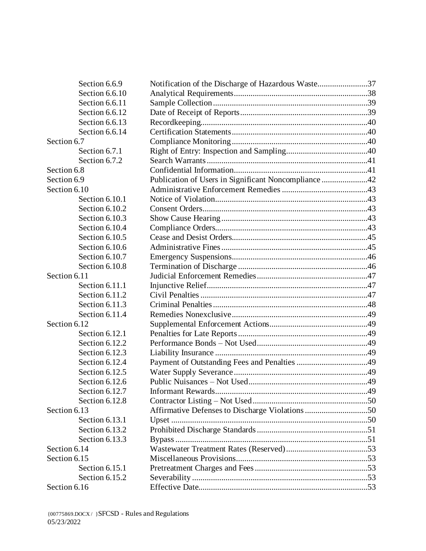| Section 6.6.9  | Notification of the Discharge of Hazardous Waste37   |     |
|----------------|------------------------------------------------------|-----|
| Section 6.6.10 |                                                      |     |
| Section 6.6.11 |                                                      |     |
| Section 6.6.12 |                                                      |     |
| Section 6.6.13 |                                                      |     |
| Section 6.6.14 |                                                      |     |
| Section 6.7    |                                                      |     |
| Section 6.7.1  |                                                      |     |
| Section 6.7.2  |                                                      |     |
| Section 6.8    |                                                      |     |
| Section 6.9    | Publication of Users in Significant Noncompliance 42 |     |
| Section 6.10   |                                                      |     |
| Section 6.10.1 |                                                      |     |
| Section 6.10.2 |                                                      |     |
| Section 6.10.3 |                                                      |     |
| Section 6.10.4 |                                                      |     |
| Section 6.10.5 |                                                      |     |
| Section 6.10.6 |                                                      |     |
| Section 6.10.7 |                                                      |     |
| Section 6.10.8 |                                                      |     |
| Section 6.11   |                                                      |     |
| Section 6.11.1 |                                                      |     |
| Section 6.11.2 |                                                      |     |
| Section 6.11.3 |                                                      |     |
| Section 6.11.4 |                                                      |     |
| Section 6.12   |                                                      |     |
| Section 6.12.1 |                                                      |     |
| Section 6.12.2 |                                                      |     |
| Section 6.12.3 |                                                      |     |
| Section 6.12.4 |                                                      |     |
| Section 6.12.5 |                                                      |     |
| Section 6.12.6 |                                                      |     |
| Section 6.12.7 | Informant Rewards                                    | .49 |
| Section 6.12.8 |                                                      |     |
| Section 6.13   | Affirmative Defenses to Discharge Violations 50      |     |
| Section 6.13.1 |                                                      |     |
| Section 6.13.2 |                                                      |     |
| Section 6.13.3 |                                                      |     |
| Section 6.14   |                                                      |     |
| Section 6.15   |                                                      |     |
| Section 6.15.1 |                                                      |     |
| Section 6.15.2 |                                                      |     |
| Section 6.16   |                                                      |     |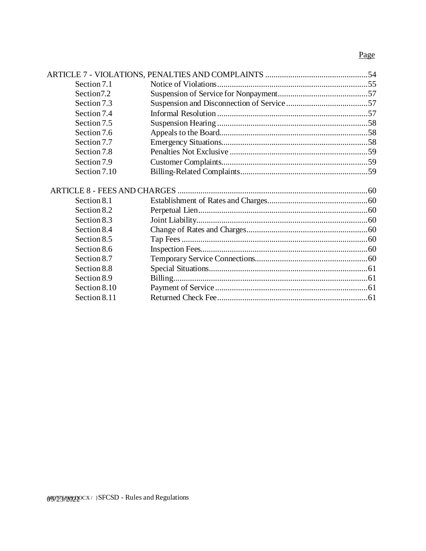# Page

| Section 7.1  |  |
|--------------|--|
| Section7.2   |  |
| Section 7.3  |  |
| Section 7.4  |  |
| Section 7.5  |  |
| Section 7.6  |  |
| Section 7.7  |  |
| Section 7.8  |  |
| Section 7.9  |  |
| Section 7.10 |  |
|              |  |
|              |  |
| Section 8.1  |  |
| Section 8.2  |  |
| Section 8.3  |  |
| Section 8.4  |  |
| Section 8.5  |  |
| Section 8.6  |  |
| Section 8.7  |  |
| Section 8.8  |  |
| Section 8.9  |  |
| Section 8.10 |  |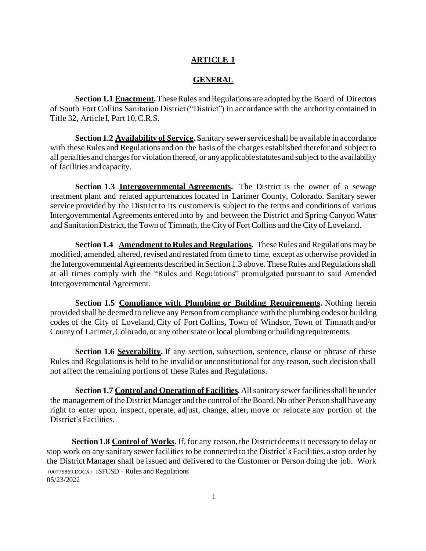#### **ARTICLE 1**

#### **GENERAL**

**Section 1.1 Enactment.** These Rules and Regulations are adopted by the Board of Directors of South Fort Collins Sanitation District ("District") in accordance with the authority contained in Title 32, Article I, Part 10,C.R.S.

**Section 1.2 Availability of Service.** Sanitary sewer service shall be available in accordance with these Rules and Regulations and on the basis of the charges established therefor and subject to all penalties and charges for violation thereof, or any applicable statutes and subject to the availability of facilities andcapacity.

**Section 1.3 Intergovernmental Agreements.** The District is the owner of a sewage treatment plant and related appurtenances located in Larimer County, Colorado. Sanitary sewer service provided by the District to its customers is subject to the terms and conditions of various Intergovernmental Agreements entered into by and between the District and Spring Canyon Water and Sanitation District, the Town of Timnath, the City of Fort Collins and the City of Loveland.

**Section 1.4 Amendment to Rules and Regulations.** These Rules and Regulations may be modified, amended, altered, revised and restated from time to time, except as otherwise provided in the Intergovernmental Agreements described in Section 1.3 above. These Rules and Regulations shall at all times comply with the "Rules and Regulations" promulgated pursuant to said Amended Intergovernmental Agreement.

**Section 1.5 Compliance with Plumbing or Building Requirements.** Nothing herein provided shall be deemed to relieve any Person from compliance with the plumbing codes or building codes of the City of Loveland, City of Fort Collins**,** Town of Windsor, Town of Timnath and/or County of Larimer,Colorado, or any other state or local plumbing or building requirements.

**Section 1.6 Severability.** If any section, subsection, sentence, clause or phrase of these Rules and Regulations is held to be invalid or unconstitutional for any reason, such decision shall not affect the remaining portions of these Rules and Regulations.

**Section 1.7 Control and Operation of Facilities.** All sanitary sewer facilities shall be under the management of the District Manager and the control of the Board. No other Person shall have any right to enter upon, inspect, operate, adjust, change, alter, move or relocate any portion of the District's Facilities.

{00775869.DOCX / }SFCSD - Rules and Regulations 05/23/2022 **Section 1.8 Control of Works.** If, for any reason, the District deems it necessary to delay or stop work on any sanitary sewer facilities to be connected to the District's Facilities, a stop order by the District Manager shall be issued and delivered to the Customer or Person doing the job. Work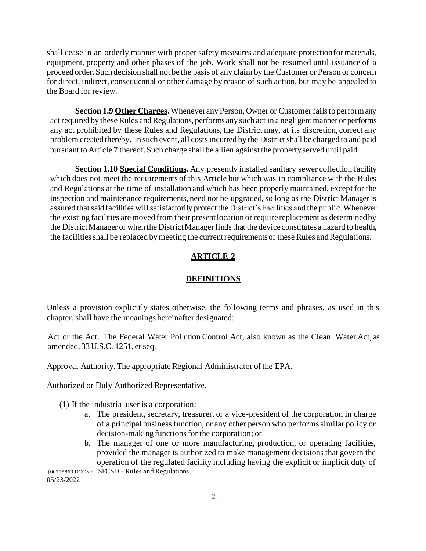shall cease in an orderly manner with proper safety measures and adequate protectionfor materials, equipment, property and other phases of the job. Work shall not be resumed until issuance of a proceed order. Such decision shall not be the basis of any claim by the Customer or Person or concern for direct, indirect, consequential or other damage by reason of such action, but may be appealed to the Board for review.

**Section 1.9 Other Charges.** Whenever any Person, Owner or Customer fails to perform any act required by these Rules and Regulations, performs any such act in a negligent manner or performs any act prohibited by these Rules and Regulations, the District may, at its discretion, correct any problem created thereby. In such event, all costs incurred by the District shall be charged to and paid pursuant to Article 7 thereof. Such charge shall be a lien against the property served until paid.

**Section 1.10 Special Conditions.** Any presently installed sanitary sewer collection facility which does not meet the requirements of this Article but which was in compliance with the Rules and Regulations at the time of installation and which has been properly maintained, except for the inspection and maintenance requirements, need not be upgraded, so long as the District Manager is assured that said facilities will satisfactorily protect the District's Facilities and the public. Whenever the existing facilities are moved from their present location or require replacement as determined by the District Manager or when the District Manager finds that the device constitutes a hazard to health, the facilities shall be replaced by meeting the current requirements of these Rules and Regulations.

## **ARTICLE 2**

## **DEFINITIONS**

Unless a provision explicitly states otherwise, the following terms and phrases, as used in this chapter, shall have the meanings hereinafter designated:

Act or the Act. The Federal Water Pollution Control Act, also known as the Clean Water Act, as amended, 33 U.S.C. 1251, et seq.

Approval Authority. The appropriate Regional Administrator of the EPA.

Authorized or Duly Authorized Representative.

(1) If the industrial user is a corporation:

- a. The president, secretary, treasurer, or a vice-president of the corporation in charge of a principal business function, or any other person who performs similar policy or decision-making functions for the corporation; or
- {00775869.DOCX / }SFCSD Rules and Regulations b. The manager of one or more manufacturing, production, or operating facilities, provided the manager is authorized to make management decisions that govern the operation of the regulated facility including having the explicit or implicit duty of

05/23/2022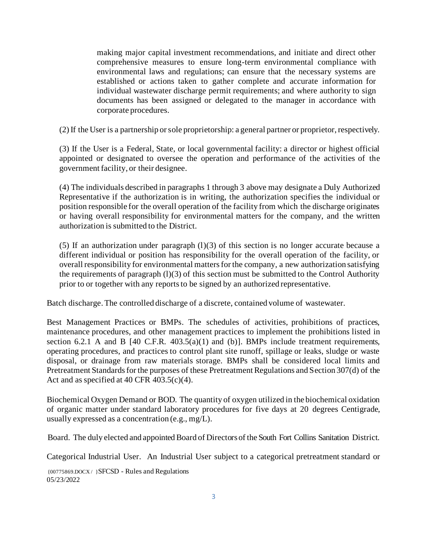making major capital investment recommendations, and initiate and direct other comprehensive measures to ensure long-term environmental compliance with environmental laws and regulations; can ensure that the necessary systems are established or actions taken to gather complete and accurate information for individual wastewater discharge permit requirements; and where authority to sign documents has been assigned or delegated to the manager in accordance with corporate procedures.

(2) If the User is a partnership or sole proprietorship: a general partner or proprietor, respectively.

(3) If the User is a Federal, State, or local governmental facility: a director or highest official appointed or designated to oversee the operation and performance of the activities of the government facility, or their designee.

(4) The individuals described in paragraphs 1 through 3 above may designate a Duly Authorized Representative if the authorization is in writing, the authorization specifies the individual or position responsible for the overall operation of the facility from which the discharge originates or having overall responsibility for environmental matters for the company, and the written authorization is submitted to the District.

(5) If an authorization under paragraph  $(1)(3)$  of this section is no longer accurate because a different individual or position has responsibility for the overall operation of the facility, or overall responsibility for environmental matters for the company, a new authorization satisfying the requirements of paragraph  $(1)(3)$  of this section must be submitted to the Control Authority prior to or together with any reports to be signed by an authorized representative.

Batch discharge. The controlled discharge of a discrete, contained volume of wastewater.

Best Management Practices or BMPs. The schedules of activities, prohibitions of practices, maintenance procedures, and other management practices to implement the prohibitions listed in section 6.2.1 A and B  $[40 \text{ C.F.R. } 403.5(a)(1)$  and  $(b)$ ]. BMPs include treatment requirements, operating procedures, and practices to control plant site runoff, spillage or leaks, sludge or waste disposal, or drainage from raw materials storage. BMPs shall be considered local limits and Pretreatment Standards for the purposes of these Pretreatment Regulations and Section 307(d) of the Act and as specified at 40 CFR  $403.5(c)(4)$ .

Biochemical Oxygen Demand or BOD. The quantity of oxygen utilized in the biochemical oxidation of organic matter under standard laboratory procedures for five days at 20 degrees Centigrade, usually expressed as a concentration (e.g.,  $mg/L$ ).

Board. The duly elected and appointed Board of Directorsof the South Fort Collins Sanitation District.

Categorical Industrial User. An Industrial User subject to a categorical pretreatment standard or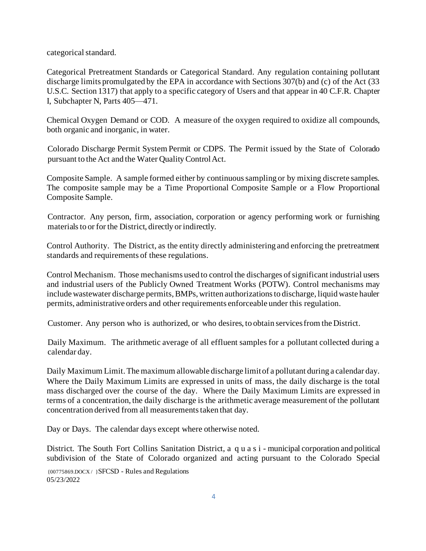categorical standard.

Categorical Pretreatment Standards or Categorical Standard. Any regulation containing pollutant discharge limits promulgated by the EPA in accordance with Sections 307(b) and (c) of the Act (33 U.S.C. Section 1317) that apply to a specific category of Users and that appear in 40 C.F.R. Chapter I, Subchapter N, Parts 405—471.

Chemical Oxygen Demand or COD. A measure of the oxygen required to oxidize all compounds, both organic and inorganic, in water.

Colorado Discharge Permit System Permit or CDPS. The Permit issued by the State of Colorado pursuant to the Act and the Water QualityControlAct.

Composite Sample. A sample formed either by continuous sampling or by mixing discrete samples. The composite sample may be a Time Proportional Composite Sample or a Flow Proportional Composite Sample.

Contractor. Any person, firm, association, corporation or agency performing work or furnishing materials to or for the District, directly or indirectly.

Control Authority. The District, as the entity directly administering and enforcing the pretreatment standards and requirements of these regulations.

Control Mechanism. Those mechanisms used to control the discharges of significant industrial users and industrial users of the Publicly Owned Treatment Works (POTW). Control mechanisms may include wastewater discharge permits, BMPs, written authorizations to discharge, liquid waste hauler permits, administrative orders and other requirements enforceable under this regulation.

Customer. Any person who is authorized, or who desires, to obtain servicesfrom the District.

Daily Maximum. The arithmetic average of all effluent samples for a pollutant collected during a calendar day.

Daily Maximum Limit.The maximum allowable discharge limit of a pollutant during a calendar day. Where the Daily Maximum Limits are expressed in units of mass, the daily discharge is the total mass discharged over the course of the day. Where the Daily Maximum Limits are expressed in terms of a concentration, the daily discharge is the arithmetic average measurement of the pollutant concentration derived from all measurements taken that day.

Day or Days. The calendar days except where otherwise noted.

District. The South Fort Collins Sanitation District, a q u a s i - municipal corporation and political subdivision of the State of Colorado organized and acting pursuant to the Colorado Special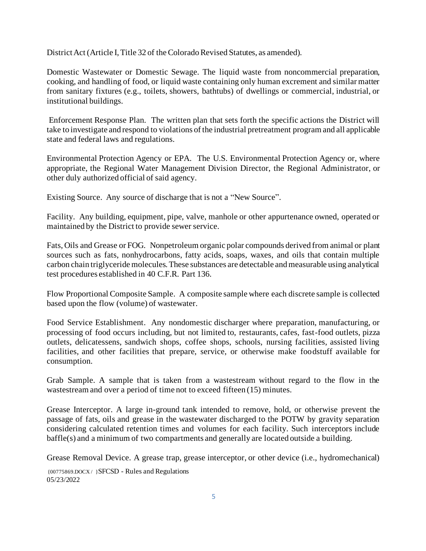District Act (Article I, Title 32 of the Colorado Revised Statutes, as amended).

Domestic Wastewater or Domestic Sewage. The liquid waste from noncommercial preparation, cooking, and handling of food, or liquid waste containing only human excrement and similar matter from sanitary fixtures (e.g., toilets, showers, bathtubs) of dwellings or commercial, industrial, or institutional buildings.

Enforcement Response Plan. The written plan that sets forth the specific actions the District will take to investigate and respond to violations of the industrial pretreatment program and all applicable state and federal laws and regulations.

Environmental Protection Agency or EPA. The U.S. Environmental Protection Agency or, where appropriate, the Regional Water Management Division Director, the Regional Administrator, or other duly authorized official of said agency.

Existing Source. Any source of discharge that is not a "New Source".

Facility. Any building, equipment, pipe, valve, manhole or other appurtenance owned, operated or maintained by the District to provide sewer service.

Fats, Oils and Grease or FOG. Nonpetroleum organic polar compounds derived from animal or plant sources such as fats, nonhydrocarbons, fatty acids, soaps, waxes, and oils that contain multiple carbon chain triglyceride molecules. These substances are detectable and measurable using analytical test procedures established in 40 C.F.R. Part 136.

Flow Proportional Composite Sample. A composite sample where each discrete sample is collected based upon the flow (volume) of wastewater.

Food Service Establishment. Any nondomestic discharger where preparation, manufacturing, or processing of food occurs including, but not limited to, restaurants, cafes, fast-food outlets, pizza outlets, delicatessens, sandwich shops, coffee shops, schools, nursing facilities, assisted living facilities, and other facilities that prepare, service, or otherwise make foodstuff available for consumption.

Grab Sample. A sample that is taken from a wastestream without regard to the flow in the wastestream and over a period of time not to exceed fifteen (15) minutes.

Grease Interceptor. A large in-ground tank intended to remove, hold, or otherwise prevent the passage of fats, oils and grease in the wastewater discharged to the POTW by gravity separation considering calculated retention times and volumes for each facility. Such interceptors include baffle(s) and a minimum of two compartments and generally are located outside a building.

Grease Removal Device. A grease trap, grease interceptor, or other device (i.e., hydromechanical)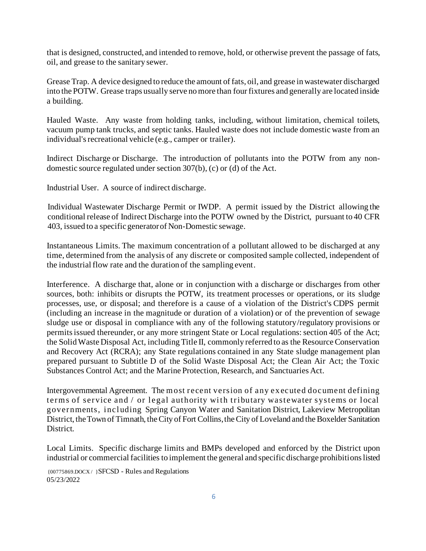that is designed, constructed, and intended to remove, hold, or otherwise prevent the passage of fats, oil, and grease to the sanitary sewer.

Grease Trap. A device designed to reduce the amount of fats, oil, and grease in wastewater discharged into the POTW. Grease traps usually serve no more than four fixtures and generally are located inside a building.

Hauled Waste. Any waste from holding tanks, including, without limitation, chemical toilets, vacuum pump tank trucks, and septic tanks. Hauled waste does not include domestic waste from an individual's recreational vehicle (e.g., camper or trailer).

Indirect Discharge or Discharge. The introduction of pollutants into the POTW from any nondomestic source regulated under section 307(b), (c) or (d) of the Act.

Industrial User. A source of indirect discharge.

Individual Wastewater Discharge Permit or IWDP. A permit issued by the District allowing the conditional release of Indirect Discharge into the POTW owned by the District, pursuant to 40 CFR 403, issued to a specific generator of Non-Domestic sewage.

Instantaneous Limits. The maximum concentration of a pollutant allowed to be discharged at any time, determined from the analysis of any discrete or composited sample collected, independent of the industrial flow rate and the duration of the sampling event.

Interference. A discharge that, alone or in conjunction with a discharge or discharges from other sources, both: inhibits or disrupts the POTW, its treatment processes or operations, or its sludge processes, use, or disposal; and therefore is a cause of a violation of the District's CDPS permit (including an increase in the magnitude or duration of a violation) or of the prevention of sewage sludge use or disposal in compliance with any of the following statutory/regulatory provisions or permits issued thereunder, or any more stringent State or Local regulations: section 405 of the Act; the SolidWaste Disposal Act, including Title II, commonly referred to as the Resource Conservation and Recovery Act (RCRA); any State regulations contained in any State sludge management plan prepared pursuant to Subtitle D of the Solid Waste Disposal Act; the Clean Air Act; the Toxic Substances Control Act; and the Marine Protection, Research, and Sanctuaries Act.

Intergovernmental Agreement. The most recent version of any ex ecuted document defining terms of service and / or legal authority with tributary wastewater systems or local governments, including Spring Canyon Water and Sanitation District, Lakeview Metropolitan District, the Town of Timnath, the City of Fort Collins, the City of Loveland and the Boxelder Sanitation District.

Local Limits. Specific discharge limits and BMPs developed and enforced by the District upon industrial or commercial facilities to implement the general and specific discharge prohibitions listed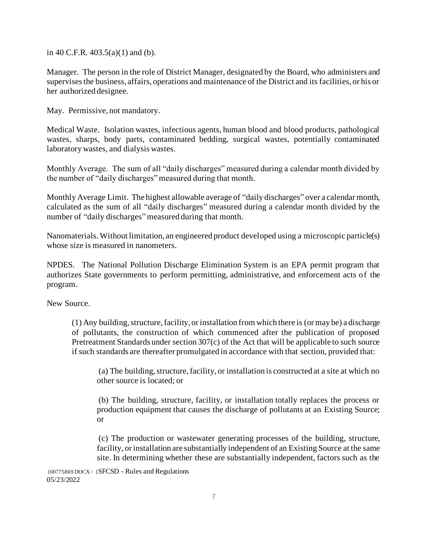in 40 C.F.R. 403.5(a)(1) and (b).

Manager. The person in the role of District Manager, designated by the Board, who administers and supervises the business, affairs, operations and maintenance of the District and its facilities, or his or her authorized designee.

May. Permissive, not mandatory.

Medical Waste. Isolation wastes, infectious agents, human blood and blood products, pathological wastes, sharps, body parts, contaminated bedding, surgical wastes, potentially contaminated laboratory wastes, and dialysis wastes.

Monthly Average. The sum of all "daily discharges" measured during a calendar month divided by the number of "daily discharges" measured during that month.

Monthly Average Limit. The highest allowable average of "daily discharges" over a calendar month, calculated as the sum of all "daily discharges" measured during a calendar month divided by the number of "daily discharges" measured during that month.

Nanomaterials. Without limitation, an engineered product developed using a microscopic particle(s) whose size is measured in nanometers.

NPDES. The National Pollution Discharge Elimination System is an EPA permit program that authorizes State governments to perform permitting, administrative, and enforcement acts of the program.

New Source.

(1) Any building, structure, facility, or installation from which there is (or may be) a discharge of pollutants, the construction of which commenced after the publication of proposed Pretreatment Standards under section 307(c) of the Act that will be applicable to such source if such standards are thereafter promulgated in accordance with that section, provided that:

(a) The building, structure, facility, or installation is constructed at a site at which no other source is located; or

(b) The building, structure, facility, or installation totally replaces the process or production equipment that causes the discharge of pollutants at an Existing Source; or

(c) The production or wastewater generating processes of the building, structure, facility, or installation are substantially independent of an Existing Source at the same site. In determining whether these are substantially independent, factors such as the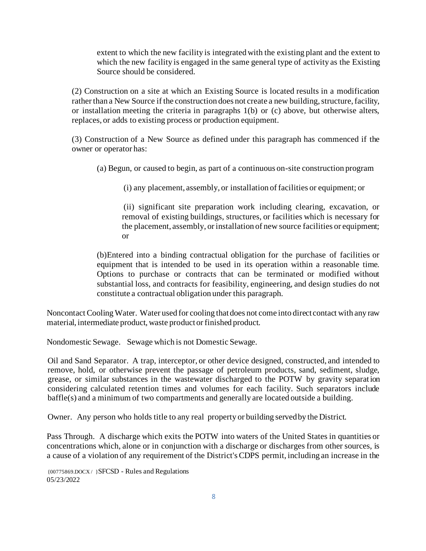extent to which the new facility is integrated with the existing plant and the extent to which the new facility is engaged in the same general type of activity as the Existing Source should be considered.

(2) Construction on a site at which an Existing Source is located results in a modification rather than a New Source if the construction does not create a new building, structure, facility, or installation meeting the criteria in paragraphs 1(b) or (c) above, but otherwise alters, replaces, or adds to existing process or production equipment.

(3) Construction of a New Source as defined under this paragraph has commenced if the owner or operator has:

(a) Begun, or caused to begin, as part of a continuous on-site construction program

(i) any placement, assembly, or installation of facilities or equipment; or

(ii) significant site preparation work including clearing, excavation, or removal of existing buildings, structures, or facilities which is necessary for the placement, assembly, or installation of new source facilities or equipment; or

(b)Entered into a binding contractual obligation for the purchase of facilities or equipment that is intended to be used in its operation within a reasonable time. Options to purchase or contracts that can be terminated or modified without substantial loss, and contracts for feasibility, engineering, and design studies do not constitute a contractual obligation under this paragraph.

Noncontact Cooling Water. Water used for cooling that does not come into direct contact with any raw material, intermediate product, waste product or finished product.

Nondomestic Sewage. Sewage which is not Domestic Sewage.

Oil and Sand Separator. A trap, interceptor, or other device designed, constructed, and intended to remove, hold, or otherwise prevent the passage of petroleum products, sand, sediment, sludge, grease, or similar substances in the wastewater discharged to the POTW by gravity separation considering calculated retention times and volumes for each facility. Such separators include baffle(s) and a minimum of two compartments and generally are located outside a building.

Owner. Any person who holds title to any real property or building servedby the District.

Pass Through. A discharge which exits the POTW into waters of the United States in quantities or concentrations which, alone or in conjunction with a discharge or discharges from other sources, is a cause of a violation of any requirement of the District's CDPS permit, including an increase in the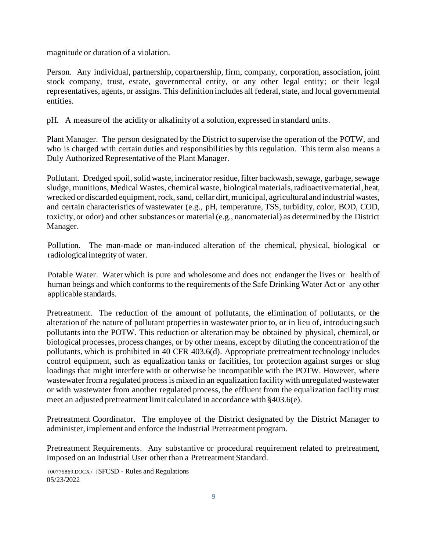magnitude or duration of a violation.

Person. Any individual, partnership, copartnership, firm, company, corporation, association, joint stock company, trust, estate, governmental entity, or any other legal entity; or their legal representatives, agents, or assigns. This definition includes all federal, state, and local governmental entities.

pH. A measure of the acidity or alkalinity of a solution, expressed in standard units.

Plant Manager. The person designated by the District to supervise the operation of the POTW, and who is charged with certain duties and responsibilities by this regulation. This term also means a Duly Authorized Representative of the Plant Manager.

Pollutant. Dredged spoil, solid waste, incinerator residue, filter backwash, sewage, garbage, sewage sludge, munitions, Medical Wastes, chemical waste, biological materials, radioactive material, heat, wrecked or discarded equipment, rock, sand, cellar dirt, municipal, agricultural and industrial wastes, and certain characteristics of wastewater (e.g., pH, temperature, TSS, turbidity, color, BOD, COD, toxicity, or odor) and other substances or material (e.g., nanomaterial) as determined by the District Manager.

Pollution. The man-made or man-induced alteration of the chemical, physical, biological or radiological integrity of water.

Potable Water. Water which is pure and wholesome and does not endanger the lives or health of human beings and which conforms to the requirements of the Safe Drinking Water Act or any other applicable standards.

Pretreatment. The reduction of the amount of pollutants, the elimination of pollutants, or the alteration of the nature of pollutant properties in wastewater prior to, or in lieu of, introducing such pollutants into the POTW. This reduction or alteration may be obtained by physical, chemical, or biological processes, process changes, or by other means, except by diluting the concentration of the pollutants, which is prohibited in 40 CFR 403.6(d). Appropriate pretreatment technology includes control equipment, such as equalization tanks or facilities, for protection against surges or slug loadings that might interfere with or otherwise be incompatible with the POTW. However, where wastewater from a regulated process is mixed in an equalization facility with unregulated wastewater or with wastewater from another regulated process, the effluent from the equalization facility must meet an adjusted pretreatment limit calculated in accordance with §403.6(e).

Pretreatment Coordinator. The employee of the District designated by the District Manager to administer, implement and enforce the Industrial Pretreatment program.

Pretreatment Requirements. Any substantive or procedural requirement related to pretreatment, imposed on an Industrial User other than a Pretreatment Standard.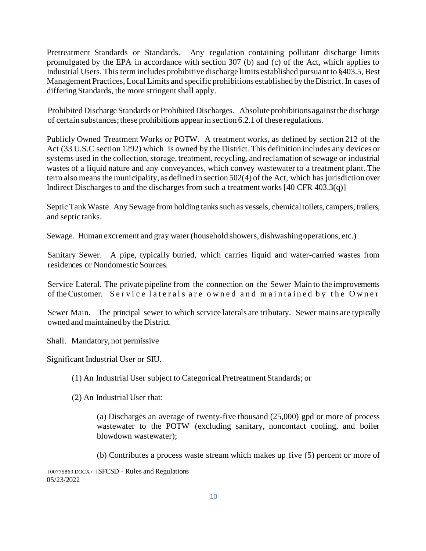Pretreatment Standards or Standards. Any regulation containing pollutant discharge limits promulgated by the EPA in accordance with section 307 (b) and (c) of the Act, which applies to Industrial Users. This term includes prohibitive discharge limits established pursuant to §403.5, Best Management Practices, Local Limits and specific prohibitions established by the District. In cases of differing Standards, the more stringent shall apply.

Prohibited Discharge Standards or Prohibited Discharges. Absolute prohibitions against the discharge of certain substances; these prohibitions appear in section 6.2.1 of these regulations.

Publicly Owned Treatment Works or POTW. A treatment works, as defined by section 212 of the Act (33 U.S.C section 1292) which is owned by the District. This definition includes any devices or systems used in the collection, storage, treatment, recycling, and reclamation of sewage or industrial wastes of a liquid nature and any conveyances, which convey wastewater to a treatment plant. The term also means the municipality, as defined in section 502(4) of the Act, which has jurisdiction over Indirect Discharges to and the discharges from such a treatment works [40 CFR 403.3(q)]

Septic Tank Waste. Any Sewage from holding tanks such as vessels, chemical toilets, campers, trailers, and septic tanks.

Sewage. Human excrement and gray water (household showers, dishwashing operations, etc.)

Sanitary Sewer. A pipe, typically buried, which carries liquid and water-carried wastes from residences or Nondomestic Sources.

Service Lateral. The private pipeline from the connection on the Sewer Main to the improvements of the Customer. Service laterals are owned and maintained by the Owner

Sewer Main. The principal sewer to which service laterals are tributary. Sewer mains are typically owned and maintained by the District.

Shall. Mandatory, not permissive

Significant Industrial User or SIU.

(1) An Industrial User subject to Categorical Pretreatment Standards; or

(2) An Industrial User that:

(a) Discharges an average of twenty-five thousand (25,000) gpd or more of process wastewater to the POTW (excluding sanitary, noncontact cooling, and boiler blowdown wastewater);

(b) Contributes a process waste stream which makes up five (5) percent or more of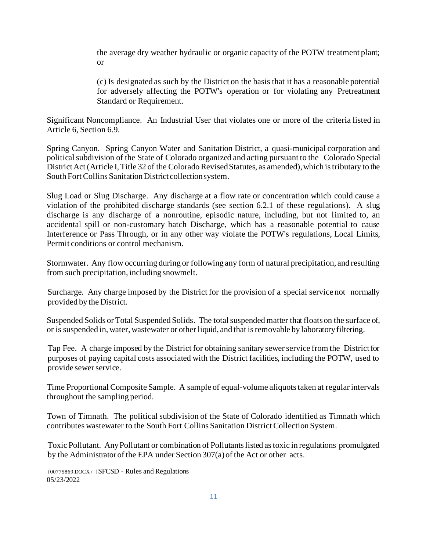the average dry weather hydraulic or organic capacity of the POTW treatment plant; or

(c) Is designated as such by the District on the basis that it has a reasonable potential for adversely affecting the POTW's operation or for violating any Pretreatment Standard or Requirement.

Significant Noncompliance. An Industrial User that violates one or more of the criteria listed in Article 6, Section 6.9.

Spring Canyon. Spring Canyon Water and Sanitation District, a quasi-municipal corporation and political subdivision of the State of Colorado organized and acting pursuant to the Colorado Special District Act (Article I, Title 32 of the Colorado Revised Statutes, as amended), which is tributary to the South Fort Collins Sanitation District collection system.

Slug Load or Slug Discharge. Any discharge at a flow rate or concentration which could cause a violation of the prohibited discharge standards (see section 6.2.1 of these regulations). A slug discharge is any discharge of a nonroutine, episodic nature, including, but not limited to, an accidental spill or non-customary batch Discharge, which has a reasonable potential to cause Interference or Pass Through, or in any other way violate the POTW's regulations, Local Limits, Permit conditions or control mechanism.

Stormwater. Any flow occurring during or following any form of natural precipitation, and resulting from such precipitation, including snowmelt.

Surcharge. Any charge imposed by the District for the provision of a special service not normally provided by the District.

Suspended Solids or Total Suspended Solids. The total suspended matter that floats on the surface of, or is suspended in, water, wastewater or other liquid, and that isremovable by laboratoryfiltering.

Tap Fee. A charge imposed by the District for obtaining sanitary sewerservice from the District for purposes of paying capital costs associated with the District facilities, including the POTW, used to provide sewer service.

Time Proportional Composite Sample. A sample of equal-volume aliquots taken at regular intervals throughout the sampling period.

Town of Timnath. The political subdivision of the State of Colorado identified as Timnath which contributes wastewater to the South Fort Collins Sanitation District Collection System.

Toxic Pollutant. Any Pollutant or combination of Pollutants listed as toxic in regulations promulgated by the Administrator of the EPA under Section 307(a)of the Act or other acts.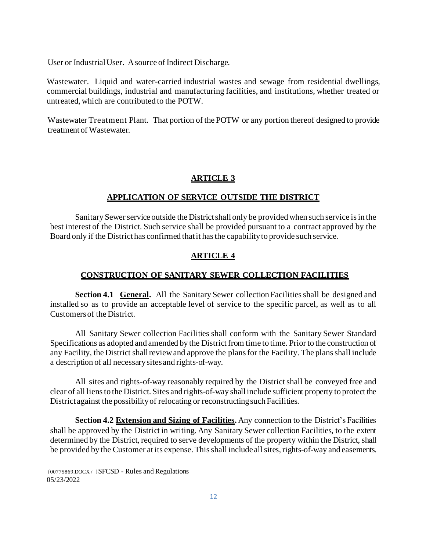User or Industrial User. A source of Indirect Discharge.

Wastewater. Liquid and water-carried industrial wastes and sewage from residential dwellings, commercial buildings, industrial and manufacturing facilities, and institutions, whether treated or untreated, which are contributed to the POTW.

Wastewater Treatment Plant. That portion of the POTW or any portion thereof designed to provide treatment of Wastewater.

### **ARTICLE 3**

### **APPLICATION OF SERVICE OUTSIDE THE DISTRICT**

Sanitary Sewer service outside the District shall only be provided when such service is in the best interest of the District. Such service shall be provided pursuant to a contract approved by the Board only if the District has confirmed thatit hasthe capabilityto provide such service.

### **ARTICLE 4**

### **CONSTRUCTION OF SANITARY SEWER COLLECTION FACILITIES**

**Section 4.1 General.** All the Sanitary Sewer collection Facilities shall be designed and installed so as to provide an acceptable level of service to the specific parcel, as well as to all Customers of the District.

All Sanitary Sewer collection Facilities shall conform with the Sanitary Sewer Standard Specifications as adopted and amended by the District from time to time. Prior to the construction of any Facility, the District shall review and approve the plans for the Facility. The plans shall include a description of all necessary sites and rights-of-way.

All sites and rights-of-way reasonably required by the District shall be conveyed free and clear of all liens to the District. Sites and rights-of-way shall include sufficient property to protect the District against the possibility of relocating or reconstructing such Facilities.

**Section 4.2 Extension and Sizing of Facilities.** Any connection to the District's Facilities shall be approved by the District in writing. Any Sanitary Sewer collection Facilities, to the extent determined by the District, required to serve developments of the property within the District, shall be provided by the Customer at its expense. This shall include all sites, rights-of-way and easements.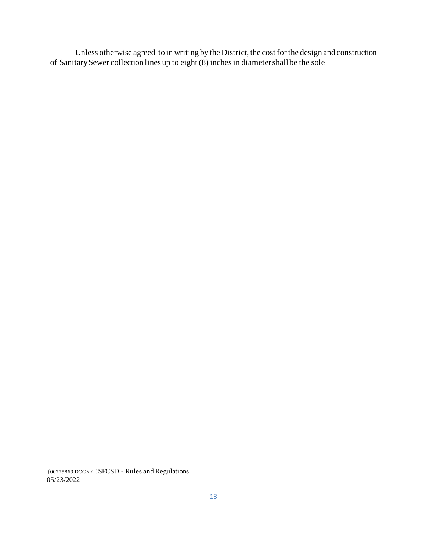Unless otherwise agreed to in writing by the District, the cost for the design and construction of Sanitary Sewer collection lines up to eight (8) inches in diameter shall be the sole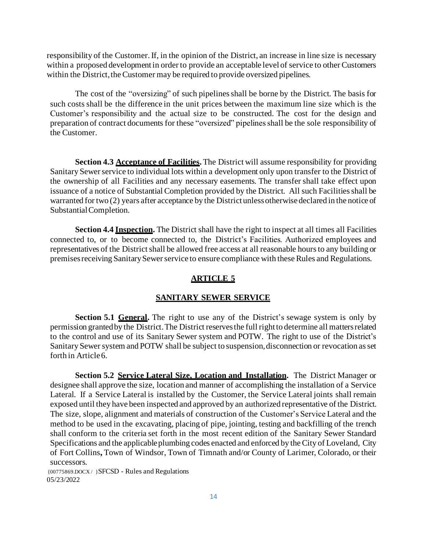responsibility of the Customer.If, in the opinion of the District, an increase in line size is necessary within a proposed development in order to provide an acceptable level of service to other Customers within the District, the Customer may be required to provide oversized pipelines.

The cost of the "oversizing" of such pipelines shall be borne by the District. The basis for such costs shall be the difference in the unit prices between the maximum line size which is the Customer's responsibility and the actual size to be constructed. The cost for the design and preparation of contract documents for these "oversized" pipelines shall be the sole responsibility of the Customer.

**Section 4.3 Acceptance of Facilities.** The District will assume responsibility for providing Sanitary Sewer service to individual lots within a development only upon transfer to the District of the ownership of all Facilities and any necessary easements. The transfer shall take effect upon issuance of a notice of Substantial Completion provided by the District. All such Facilities shall be warranted for two (2) years after acceptance by the District unless otherwise declared in the notice of Substantial Completion.

**Section 4.4 Inspection.** The District shall have the right to inspect at all times all Facilities connected to, or to become connected to, the District's Facilities. Authorized employees and representatives of the District shall be allowed free access at all reasonable hours to any building or premises receiving Sanitary Sewer service to ensure compliance with these Rules and Regulations.

#### **ARTICLE 5**

#### **SANITARY SEWER SERVICE**

**Section 5.1 General.** The right to use any of the District's sewage system is only by permission granted by the District. The District reserves the full right to determine all matters related to the control and use of its Sanitary Sewer system and POTW. The right to use of the District's Sanitary Sewer system and POTW shall be subject to suspension, disconnection or revocation as set forth in Article6.

**Section 5.2 Service Lateral Size, Location and Installation.** The District Manager or designee shall approve the size, location and manner of accomplishing the installation of a Service Lateral. If a Service Lateral is installed by the Customer, the Service Lateral joints shall remain exposed until they have been inspected and approved by an authorized representative of the District. The size, slope, alignment and materials of construction of the Customer's Service Lateral and the method to be used in the excavating, placing of pipe, jointing, testing and backfilling of the trench shall conform to the criteria set forth in the most recent edition of the Sanitary Sewer Standard Specifications and the applicable plumbing codes enacted and enforced by the City of Loveland, City of Fort Collins**,** Town of Windsor, Town of Timnath and/or County of Larimer, Colorado, or their successors.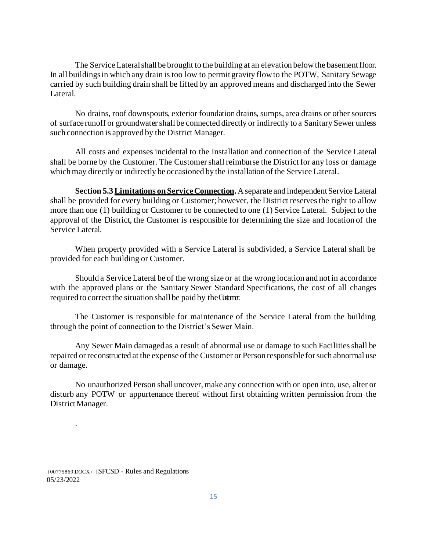The Service Lateral shall be brought to the building at an elevation below the basement floor. In all buildings in which any drain is too low to permit gravity flow to the POTW, Sanitary Sewage carried by such building drain shall be lifted by an approved means and discharged into the Sewer Lateral.

No drains, roof downspouts, exterior foundation drains, sumps, area drains or other sources of surface runoff or groundwater shall be connected directly or indirectly to a Sanitary Sewer unless such connection is approved by the District Manager.

All costs and expenses incidental to the installation and connection of the Service Lateral shall be borne by the Customer. The Customer shall reimburse the District for any loss or damage which may directly or indirectly be occasioned by the installation of the Service Lateral.

**Section 5.3 Limitations on Service Connection.** A separate and independent Service Lateral shall be provided for every building or Customer; however, the District reserves the right to allow more than one (1) building or Customer to be connected to one (1) Service Lateral. Subject to the approval of the District, the Customer is responsible for determining the size and location of the Service Lateral.

When property provided with a Service Lateral is subdivided, a Service Lateral shall be provided for each building or Customer.

Should a Service Lateral be of the wrong size or at the wrong location and not in accordance with the approved plans or the Sanitary Sewer Standard Specifications, the cost of all changes required to correct the situation shall be paid by the Customer.

The Customer is responsible for maintenance of the Service Lateral from the building through the point of connection to the District's Sewer Main.

Any Sewer Main damaged as a result of abnormal use or damage to such Facilities shall be repaired or reconstructed at the expense of the Customer or Person responsible for such abnormal use or damage.

No unauthorized Person shall uncover, make any connection with or open into, use, alter or disturb any POTW or appurtenance thereof without first obtaining written permission from the DistrictManager.

{00775869.DOCX / }SFCSD - Rules and Regulations 05/23/2022

.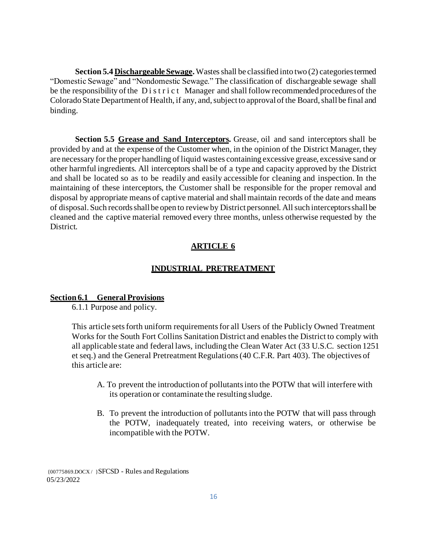**Section 5.4 Dischargeable Sewage.** Wastes shall be classified into two (2) categories termed "Domestic Sewage" and "Nondomestic Sewage." The classification of dischargeable sewage shall be the responsibility of the D i s t r i c t Manager and shall follow recommended procedures of the Colorado State Department of Health, if any, and, subject to approval of the Board, shall be final and binding.

**Section 5.5 Grease and Sand Interceptors.** Grease, oil and sand interceptors shall be provided by and at the expense of the Customer when, in the opinion of the District Manager, they are necessary for the proper handling of liquid wastes containing excessive grease, excessive sand or other harmful ingredients. All interceptors shall be of a type and capacity approved by the District and shall be located so as to be readily and easily accessible for cleaning and inspection. In the maintaining of these interceptors, the Customer shall be responsible for the proper removal and disposal by appropriate means of captive material and shall maintain records of the date and means of disposal. Such records shall be open to review by District personnel. All such interceptors shall be cleaned and the captive material removed every three months, unless otherwise requested by the District.

## **ARTICLE 6**

### **INDUSTRIAL PRETREATMENT**

#### **Section 6.1 General Provisions**

6.1.1 Purpose and policy.

This article sets forth uniform requirements for all Users of the Publicly Owned Treatment Works for the South Fort Collins Sanitation District and enables the District to comply with all applicable state and federal laws, including the Clean Water Act (33 U.S.C. section 1251 et seq.) and the General Pretreatment Regulations (40 C.F.R. Part 403). The objectives of this article are:

- A. To prevent the introduction of pollutants into the POTW that will interfere with its operation or contaminate the resulting sludge.
- B. To prevent the introduction of pollutants into the POTW that will pass through the POTW, inadequately treated, into receiving waters, or otherwise be incompatible with the POTW.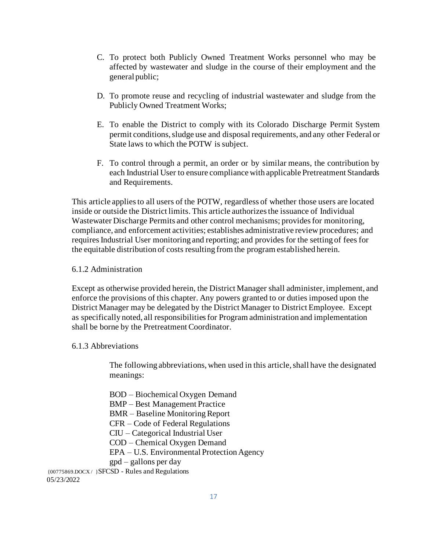- C. To protect both Publicly Owned Treatment Works personnel who may be affected by wastewater and sludge in the course of their employment and the general public;
- D. To promote reuse and recycling of industrial wastewater and sludge from the Publicly Owned Treatment Works;
- E. To enable the District to comply with its Colorado Discharge Permit System permit conditions, sludge use and disposal requirements, and any other Federal or State laws to which the POTW is subject.
- F. To control through a permit, an order or by similar means, the contribution by each Industrial User to ensure compliance with applicable Pretreatment Standards and Requirements.

This article applies to all users of the POTW, regardless of whether those users are located inside or outside the District limits. This article authorizes the issuance of Individual Wastewater Discharge Permits and other control mechanisms; provides for monitoring, compliance, and enforcement activities; establishes administrative review procedures; and requires Industrial User monitoring and reporting; and provides for the setting of fees for the equitable distribution of costs resulting from the program established herein.

#### 6.1.2 Administration

Except as otherwise provided herein, the District Manager shall administer, implement, and enforce the provisions of this chapter. Any powers granted to or duties imposed upon the District Manager may be delegated by the District Manager to District Employee. Except as specifically noted, all responsibilities for Program administration and implementation shall be borne by the Pretreatment Coordinator.

#### 6.1.3 Abbreviations

The following abbreviations, when used in this article, shall have the designated meanings:

BOD – Biochemical Oxygen Demand

BMP – Best Management Practice

- BMR Baseline Monitoring Report
- CFR Code of Federal Regulations
- CIU Categorical Industrial User
- COD Chemical Oxygen Demand
- EPA U.S. Environmental Protection Agency

gpd – gallons per day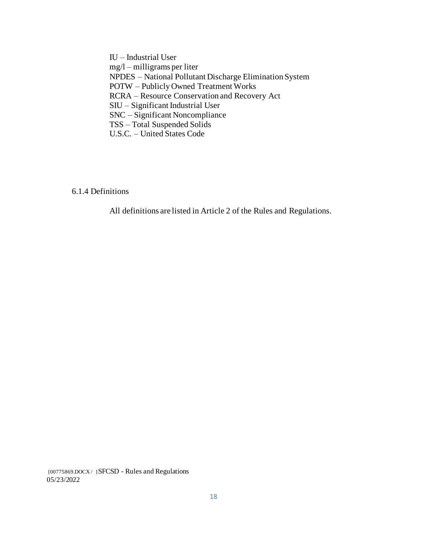IU – Industrial User mg/l – milligrams per liter NPDES – National Pollutant Discharge Elimination System POTW – Publicly Owned Treatment Works RCRA – Resource Conservation and Recovery Act SIU – Significant Industrial User SNC – Significant Noncompliance TSS – Total Suspended Solids U.S.C. – United States Code

6.1.4 Definitions

All definitions are listed in Article 2 of the Rules and Regulations.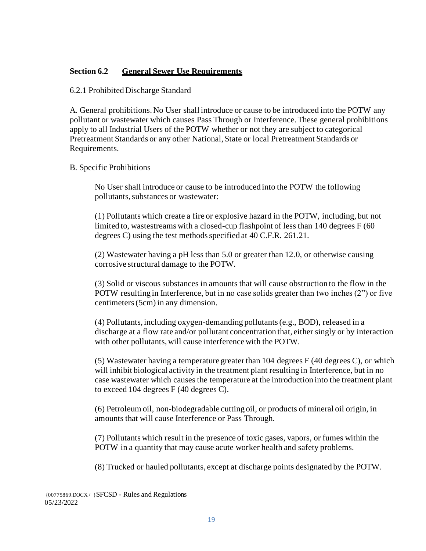## **Section 6.2 General Sewer Use Requirements**

#### 6.2.1 Prohibited Discharge Standard

A. General prohibitions. No User shall introduce or cause to be introduced into the POTW any pollutant or wastewater which causes Pass Through or Interference. These general prohibitions apply to all Industrial Users of the POTW whether or not they are subject to categorical Pretreatment Standards or any other National, State or local Pretreatment Standards or Requirements.

### B. Specific Prohibitions

No User shall introduce or cause to be introduced into the POTW the following pollutants, substances or wastewater:

(1) Pollutants which create a fire or explosive hazard in the POTW, including, but not limited to, wastestreams with a closed-cup flashpoint of less than 140 degrees F (60 degrees C) using the test methods specified at 40 C.F.R. 261.21.

(2) Wastewater having a pH less than 5.0 or greater than 12.0, or otherwise causing corrosive structural damage to the POTW.

(3) Solid or viscous substances in amounts that will cause obstruction to the flow in the POTW resulting in Interference, but in no case solids greater than two inches (2") or five centimeters (5cm) in any dimension.

(4) Pollutants, including oxygen-demanding pollutants (e.g., BOD), released in a discharge at a flow rate and/or pollutant concentration that, either singly or by interaction with other pollutants, will cause interference with the POTW.

(5) Wastewater having a temperature greater than 104 degrees F (40 degrees C), or which will inhibit biological activity in the treatment plant resulting in Interference, but in no case wastewater which causes the temperature at the introduction into the treatment plant to exceed 104 degrees F (40 degrees C).

(6) Petroleum oil, non-biodegradable cutting oil, or products of mineral oil origin, in amounts that will cause Interference or Pass Through.

(7) Pollutants which result in the presence of toxic gases, vapors, or fumes within the POTW in a quantity that may cause acute worker health and safety problems.

(8) Trucked or hauled pollutants, except at discharge points designated by the POTW.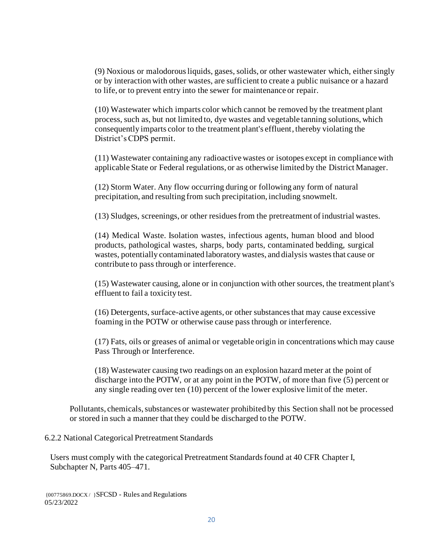(9) Noxious or malodorous liquids, gases, solids, or other wastewater which, either singly or by interaction with other wastes, are sufficient to create a public nuisance or a hazard to life, or to prevent entry into the sewer for maintenance or repair.

(10) Wastewater which imparts color which cannot be removed by the treatment plant process, such as, but not limited to, dye wastes and vegetable tanning solutions, which consequently imparts color to the treatment plant's effluent, thereby violating the District's CDPS permit.

(11) Wastewater containing any radioactive wastes or isotopes except in compliance with applicable State or Federal regulations, or as otherwise limited by the District Manager.

(12) Storm Water. Any flow occurring during or following any form of natural precipitation, and resulting from such precipitation, including snowmelt.

(13) Sludges, screenings, or other residues from the pretreatment of industrial wastes.

(14) Medical Waste. Isolation wastes, infectious agents, human blood and blood products, pathological wastes, sharps, body parts, contaminated bedding, surgical wastes, potentially contaminated laboratory wastes, and dialysis wastesthat cause or contribute to pass through or interference.

(15) Wastewater causing, alone or in conjunction with other sources, the treatment plant's effluent to fail a toxicity test.

(16) Detergents, surface-active agents, or other substances that may cause excessive foaming in the POTW or otherwise cause pass through or interference.

(17) Fats, oils or greases of animal or vegetable origin in concentrations which may cause Pass Through or Interference.

(18) Wastewater causing two readings on an explosion hazard meter at the point of discharge into the POTW, or at any point in the POTW, of more than five (5) percent or any single reading over ten (10) percent of the lower explosive limit of the meter.

Pollutants, chemicals, substances or wastewater prohibited by this Section shall not be processed or stored in such a manner that they could be discharged to the POTW.

### 6.2.2 National Categorical Pretreatment Standards

Users must comply with the categorical Pretreatment Standards found at 40 CFR Chapter I, Subchapter N, Parts 405–471.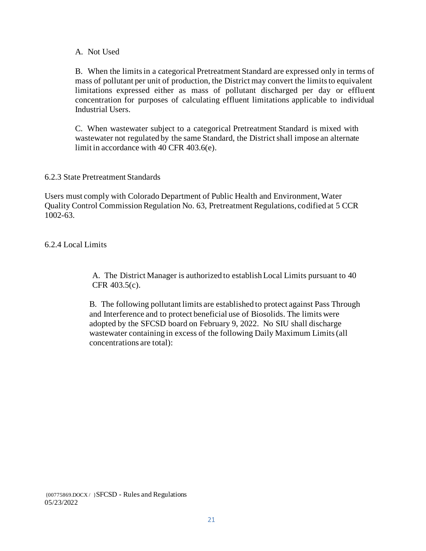### A. Not Used

B. When the limits in a categorical Pretreatment Standard are expressed only in terms of mass of pollutant per unit of production, the District may convert the limits to equivalent limitations expressed either as mass of pollutant discharged per day or effluent concentration for purposes of calculating effluent limitations applicable to individual Industrial Users.

C. When wastewater subject to a categorical Pretreatment Standard is mixed with wastewater not regulated by the same Standard, the District shall impose an alternate limit in accordance with 40 CFR 403.6(e).

### 6.2.3 State Pretreatment Standards

Users must comply with Colorado Department of Public Health and Environment, Water Quality Control Commission Regulation No. 63, Pretreatment Regulations, codified at 5 CCR 1002-63.

## 6.2.4 Local Limits

A. The District Manager is authorized to establish Local Limits pursuant to 40 CFR 403.5(c).

B. The following pollutant limits are established to protect against Pass Through and Interference and to protect beneficial use of Biosolids. The limits were adopted by the SFCSD board on February 9, 2022. No SIU shall discharge wastewater containing in excess of the following Daily Maximum Limits (all concentrations are total):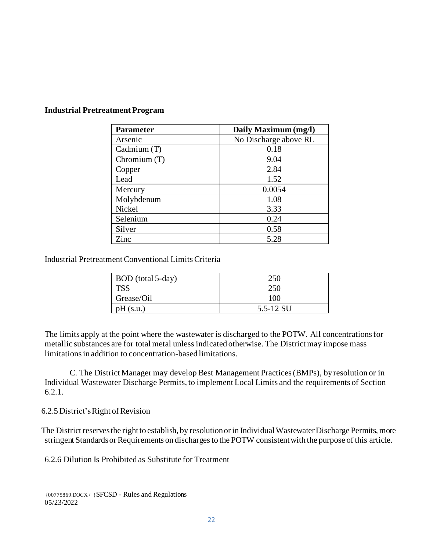| <b>Parameter</b> | Daily Maximum (mg/l)  |
|------------------|-----------------------|
| Arsenic          | No Discharge above RL |
| Cadmium (T)      | 0.18                  |
| Chromium $(T)$   | 9.04                  |
| Copper           | 2.84                  |
| Lead             | 1.52                  |
| Mercury          | 0.0054                |
| Molybdenum       | 1.08                  |
| Nickel           | 3.33                  |
| Selenium         | 0.24                  |
| Silver           | 0.58                  |
| Zinc             | 5.28                  |

### **Industrial Pretreatment Program**

Industrial Pretreatment Conventional Limits Criteria

| BOD (total 5-day) | 250       |
|-------------------|-----------|
| <b>TSS</b>        | 250       |
| Grease/Oil        | 100       |
| pH(s.u.)          | 5.5-12 SU |

The limits apply at the point where the wastewater is discharged to the POTW. All concentrations for metallic substances are for total metal unless indicated otherwise. The District may impose mass limitations in addition to concentration-based limitations.

C. The District Manager may develop Best Management Practices (BMPs), by resolution or in Individual Wastewater Discharge Permits, to implement Local Limits and the requirements of Section 6.2.1.

6.2.5 District'sRight of Revision

The District reserves the right to establish, by resolutionor in Individual Wastewater Discharge Permits, more stringent Standards or Requirements on discharges to the POTW consistent with the purpose of this article.

6.2.6 Dilution Is Prohibited as Substitute for Treatment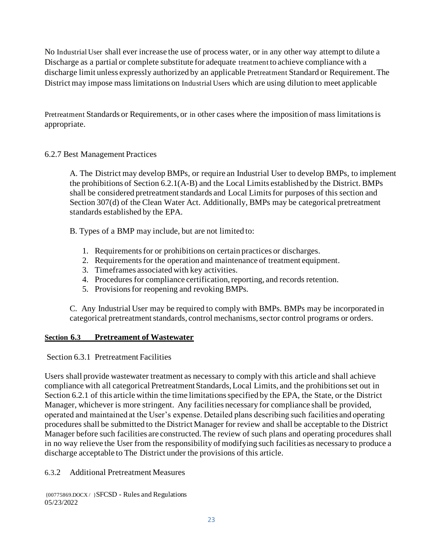No Industrial User shall ever increase the use of process water, or in any other way attempt to dilute a Discharge as a partial or complete substitute for adequate treatment to achieve compliance with a discharge limit unless expressly authorized by an applicable Pretreatment Standard or Requirement. The District may impose mass limitations on Industrial Users which are using dilution to meet applicable

Pretreatment Standards or Requirements, or in other cases where the imposition of mass limitations is appropriate.

## 6.2.7 Best Management Practices

A. The District may develop BMPs*,* or require an Industrial User to develop BMPs*,* to implement the prohibitions of Section 6.2.1(A-B) and the Local Limits established by the District. BMPs shall be considered pretreatment standards and Local Limits for purposes of this section and Section 307(d) of the Clean Water Act. Additionally, BMPs may be categorical pretreatment standards established by the EPA.

- B. Types of a BMP may include, but are not limited to:
	- 1. Requirements for or prohibitions on certain practices or discharges.
	- 2. Requirements for the operation and maintenance of treatment equipment.
	- 3. Timeframes associated with key activities.
	- 4. Procedures for compliance certification, reporting, and records retention.
	- 5. Provisions for reopening and revoking BMPs*.*

C. Any Industrial User may be required to comply with BMPs*.* BMPs may be incorporated in categorical pretreatment standards, control mechanisms, sector control programs or orders.

## **Section 6.3 Pretreament of Wastewater**

Section 6.3.1 Pretreatment Facilities

Users shall provide wastewater treatment as necessary to comply with this article and shall achieve compliance with all categorical Pretreatment Standards, Local Limits, and the prohibitions set out in Section 6.2.1 of this article within the time limitations specified by the EPA, the State, or the District Manager, whichever is more stringent. Any facilities necessary for compliance shall be provided, operated and maintained at the User's expense. Detailed plans describing such facilities and operating procedures shall be submitted to the District Manager for review and shall be acceptable to the District Manager before such facilities are constructed. The review of such plans and operating procedures shall in no way relieve the User from the responsibility of modifying such facilities as necessary to produce a discharge acceptable to The District under the provisions of this article.

## 6.3.2 Additional Pretreatment Measures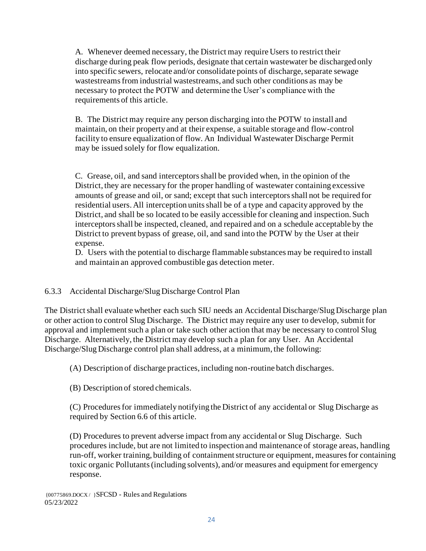A. Whenever deemed necessary, the District may require Users to restrict their discharge during peak flow periods, designate that certain wastewater be discharged only into specific sewers, relocate and/or consolidate points of discharge, separate sewage wastestreams from industrial wastestreams, and such other conditions as may be necessary to protect the POTW and determine the User's compliance with the requirements of this article.

B. The District may require any person discharging into the POTW to install and maintain, on their property and at their expense, a suitable storage and flow-control facility to ensure equalization of flow. An Individual Wastewater Discharge Permit may be issued solely for flow equalization.

C. Grease, oil, and sand interceptors shall be provided when, in the opinion of the District, they are necessary for the proper handling of wastewater containing excessive amounts of grease and oil, or sand; except that such interceptors shall not be required for residential users. All interception units shall be of a type and capacity approved by the District, and shall be so located to be easily accessible for cleaning and inspection. Such interceptors shall be inspected, cleaned, and repaired and on a schedule acceptable by the District to prevent bypass of grease, oil, and sand into the POTW by the User at their expense.

D. Users with the potential to discharge flammable substances may be required to install and maintain an approved combustible gas detection meter.

## 6.3.3 Accidental Discharge/Slug Discharge Control Plan

The District shall evaluate whether each such SIU needs an Accidental Discharge/Slug Discharge plan or other action to control Slug Discharge. The District may require any user to develop, submit for approval and implement such a plan or take such other action that may be necessary to control Slug Discharge. Alternatively, the District may develop such a plan for any User. An Accidental Discharge/Slug Discharge control plan shall address, at a minimum, the following:

(A) Description of discharge practices, including non-routine batch discharges.

(B) Description of stored chemicals.

(C) Procedures for immediately notifying the District of any accidental or Slug Discharge as required by Section 6.6 of this article.

(D) Procedures to prevent adverse impact from any accidental or Slug Discharge. Such procedures include, but are not limited to inspection and maintenance of storage areas, handling run-off, worker training, building of containment structure or equipment, measures for containing toxic organic Pollutants (including solvents), and/or measures and equipment for emergency response.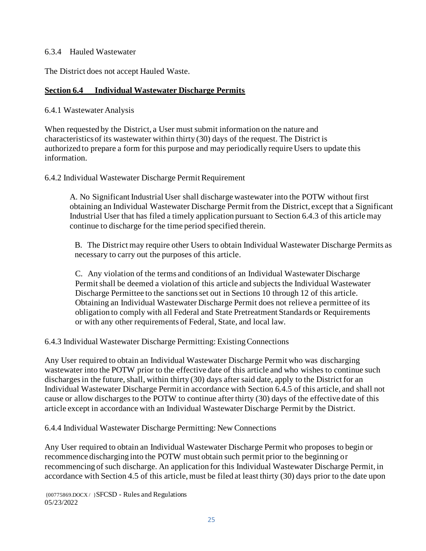### 6.3.4 Hauled Wastewater

The District does not accept Hauled Waste.

## **Section 6.4 Individual Wastewater Discharge Permits**

6.4.1 Wastewater Analysis

When requested by the District, a User must submit information on the nature and characteristics of its wastewater within thirty (30) days of the request. The District is authorized to prepare a form for this purpose and may periodically require Users to update this information.

6.4.2 Individual Wastewater Discharge Permit Requirement

A. No Significant Industrial User shall discharge wastewater into the POTW without first obtaining an Individual Wastewater Discharge Permit from the District, except that a Significant Industrial User that has filed a timely application pursuant to Section 6.4.3 of this article may continue to discharge for the time period specified therein.

B. The District may require other Users to obtain Individual Wastewater Discharge Permits as necessary to carry out the purposes of this article.

C. Any violation of the terms and conditions of an Individual Wastewater Discharge Permit shall be deemed a violation of this article and subjects the Individual Wastewater Discharge Permittee to the sanctions set out in Sections 10 through 12 of this article. Obtaining an Individual Wastewater Discharge Permit does not relieve a permittee of its obligation to comply with all Federal and State Pretreatment Standards or Requirements or with any other requirements of Federal, State, and local law.

6.4.3 Individual Wastewater Discharge Permitting: Existing Connections

Any User required to obtain an Individual Wastewater Discharge Permit who was discharging wastewater into the POTW prior to the effective date of this article and who wishes to continue such discharges in the future, shall, within thirty (30) days after said date, apply to the District for an Individual Wastewater Discharge Permit in accordance with Section 6.4.5 of this article, and shall not cause or allow discharges to the POTW to continue after thirty (30) days of the effective date of this article except in accordance with an Individual Wastewater Discharge Permit by the District.

6.4.4 Individual Wastewater Discharge Permitting: New Connections

Any User required to obtain an Individual Wastewater Discharge Permit who proposes to begin or recommence discharging into the POTW must obtain such permit prior to the beginning or recommencing of such discharge. An application for this Individual Wastewater Discharge Permit, in accordance with Section 4.5 of this article, must be filed at least thirty (30) days prior to the date upon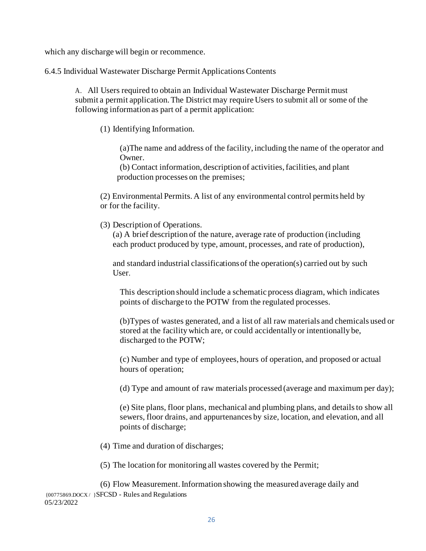which any discharge will begin or recommence.

6.4.5 Individual Wastewater Discharge Permit Applications Contents

A. All Users required to obtain an Individual Wastewater Discharge Permit must submit a permit application. The District may require Users to submit all or some of the following information as part of a permit application:

(1) Identifying Information.

(a)The name and address of the facility, including the name of the operator and Owner.

(b) Contact information, description of activities, facilities, and plant production processes on the premises;

(2) Environmental Permits. A list of any environmental control permits held by or for the facility.

(3) Description of Operations.

(a) A brief description of the nature, average rate of production (including each product produced by type, amount, processes, and rate of production),

and standard industrial classifications of the operation(s) carried out by such User.

This description should include a schematic process diagram, which indicates points of discharge to the POTW from the regulated processes.

(b)Types of wastes generated, and a list of all raw materials and chemicals used or stored at the facility which are, or could accidentally or intentionally be, discharged to the POTW;

(c) Number and type of employees, hours of operation, and proposed or actual hours of operation;

(d) Type and amount of raw materials processed (average and maximum per day);

(e) Site plans, floor plans, mechanical and plumbing plans, and details to show all sewers, floor drains, and appurtenances by size, location, and elevation, and all points of discharge;

(4) Time and duration of discharges;

(5) The location for monitoring all wastes covered by the Permit;

{00775869.DOCX / }SFCSD - Rules and Regulations 05/23/2022 (6) Flow Measurement. Information showing the measured average daily and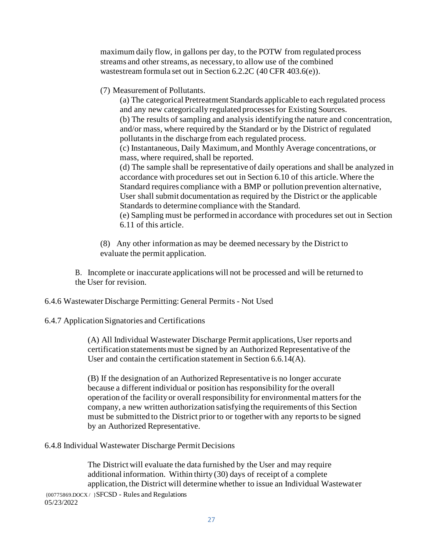maximum daily flow, in gallons per day, to the POTW from regulated process streams and other streams, as necessary, to allow use of the combined wastestream formula set out in Section 6.2.2C (40 CFR 403.6(e)).

(7) Measurement of Pollutants.

(a) The categorical Pretreatment Standards applicable to each regulated process and any new categorically regulated processes for Existing Sources. (b) The results of sampling and analysis identifying the nature and concentration, and/or mass, where required by the Standard or by the District of regulated pollutants in the discharge from each regulated process.

(c) Instantaneous, Daily Maximum, and Monthly Average concentrations, or mass, where required, shall be reported.

(d) The sample shall be representative of daily operations and shall be analyzed in accordance with procedures set out in Section 6.10 of this article. Where the Standard requires compliance with a BMP or pollution prevention alternative, User shall submit documentation as required by the District or the applicable Standards to determine compliance with the Standard.

(e) Sampling must be performed in accordance with procedures set out in Section 6.11 of this article.

(8) Any other information as may be deemed necessary by the District to evaluate the permit application.

B. Incomplete or inaccurate applications will not be processed and will be returned to the User for revision.

6.4.6 Wastewater Discharge Permitting: General Permits - Not Used

## 6.4.7 Application Signatories and Certifications

(A) All Individual Wastewater Discharge Permit applications, User reports and certification statements must be signed by an Authorized Representative of the User and contain the certification statement in Section 6.6.14(A).

(B) If the designation of an Authorized Representative is no longer accurate because a different individual or position has responsibility for the overall operation of the facility or overall responsibility for environmental matters for the company, a new written authorization satisfying the requirements of this Section must be submitted to the District prior to or together with any reports to be signed by an Authorized Representative.

6.4.8 Individual Wastewater Discharge Permit Decisions

{00775869.DOCX / }SFCSD - Rules and Regulations 05/23/2022 The District will evaluate the data furnished by the User and may require additional information. Within thirty (30) days of receipt of a complete application, the District will determine whether to issue an Individual Wastewater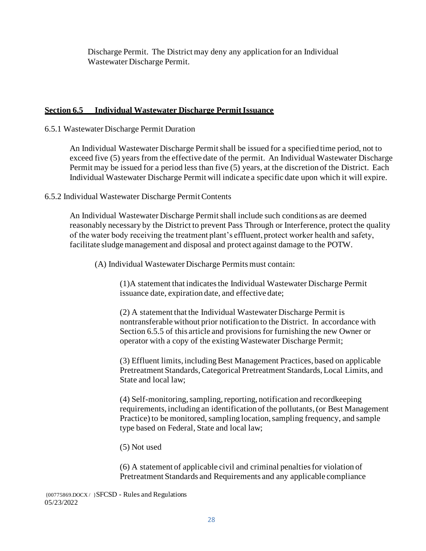Discharge Permit. The District may deny any application for an Individual Wastewater Discharge Permit.

### **Section 6.5 Individual Wastewater Discharge Permit Issuance**

### 6.5.1 Wastewater Discharge Permit Duration

An Individual Wastewater Discharge Permit shall be issued for a specified time period, not to exceed five (5) years from the effective date of the permit. An Individual Wastewater Discharge Permit may be issued for a period less than five (5) years, at the discretion of the District. Each Individual Wastewater Discharge Permit will indicate a specific date upon which it will expire.

## 6.5.2 Individual Wastewater Discharge Permit Contents

An Individual Wastewater Discharge Permit shall include such conditions as are deemed reasonably necessary by the District to prevent Pass Through or Interference, protect the quality of the water body receiving the treatment plant's effluent, protect worker health and safety, facilitate sludge management and disposal and protect against damage to the POTW.

(A) Individual Wastewater Discharge Permits must contain:

(1)A statement that indicates the Individual Wastewater Discharge Permit issuance date, expiration date, and effective date;

(2) A statement that the Individual Wastewater Discharge Permit is nontransferable without prior notification to the District. In accordance with Section 6.5.5 of this article and provisions for furnishing the new Owner or operator with a copy of the existing Wastewater Discharge Permit;

(3) Effluent limits, including Best Management Practices, based on applicable Pretreatment Standards, Categorical Pretreatment Standards, Local Limits, and State and local law;

(4) Self-monitoring, sampling, reporting, notification and recordkeeping requirements, including an identification of the pollutants, (or Best Management Practice) to be monitored, sampling location, sampling frequency, and sample type based on Federal, State and local law;

(5) Not used

(6) A statement of applicable civil and criminal penalties for violation of Pretreatment Standards and Requirements and any applicable compliance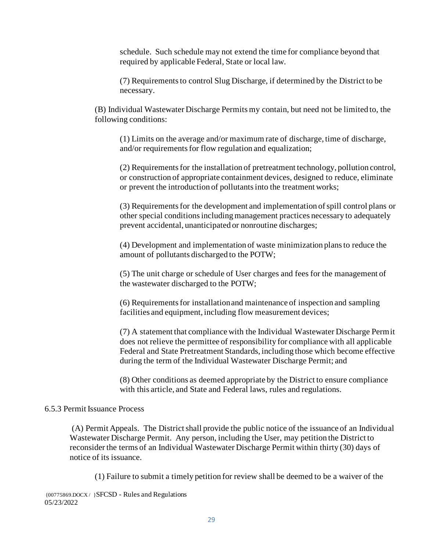schedule. Such schedule may not extend the time for compliance beyond that required by applicable Federal, State or local law.

(7) Requirements to control Slug Discharge, if determined by the District to be necessary.

(B) Individual Wastewater Discharge Permits my contain, but need not be limited to, the following conditions:

(1) Limits on the average and/or maximum rate of discharge, time of discharge, and/or requirements for flow regulation and equalization;

(2) Requirements for the installation of pretreatment technology, pollution control, or construction of appropriate containment devices, designed to reduce, eliminate or prevent the introduction of pollutants into the treatment works;

(3) Requirements for the development and implementation of spill control plans or other special conditions including management practices necessary to adequately prevent accidental, unanticipated or nonroutine discharges;

(4) Development and implementation of waste minimization plans to reduce the amount of pollutants discharged to the POTW;

(5) The unit charge or schedule of User charges and fees for the management of the wastewater discharged to the POTW;

(6) Requirements for installation and maintenance of inspection and sampling facilities and equipment, including flow measurement devices;

(7) A statement that compliance with the Individual Wastewater Discharge Permit does not relieve the permittee of responsibility for compliance with all applicable Federal and State Pretreatment Standards, including those which become effective during the term of the Individual Wastewater Discharge Permit; and

(8) Other conditions as deemed appropriate by the District to ensure compliance with this article, and State and Federal laws, rules and regulations.

#### 6.5.3 Permit Issuance Process

(A) Permit Appeals. The District shall provide the public notice of the issuance of an Individual Wastewater Discharge Permit. Any person, including the User, may petition the District to reconsider the terms of an Individual Wastewater Discharge Permit within thirty (30) days of notice of its issuance.

(1) Failure to submit a timely petition for review shall be deemed to be a waiver of the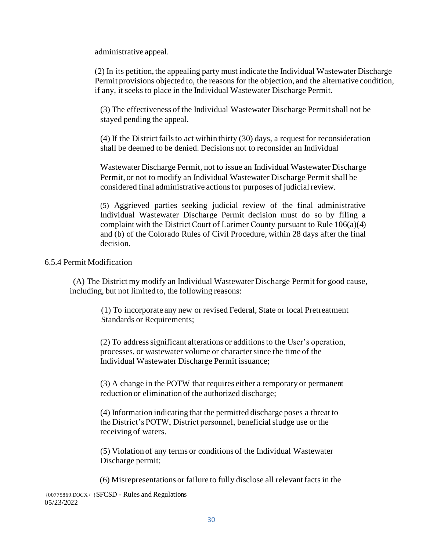administrative appeal.

(2) In its petition, the appealing party must indicate the Individual Wastewater Discharge Permit provisions objected to, the reasons for the objection, and the alternative condition, if any, it seeks to place in the Individual Wastewater Discharge Permit.

(3) The effectiveness of the Individual Wastewater Discharge Permit shall not be stayed pending the appeal.

(4) If the District fails to act within thirty (30) days, a request for reconsideration shall be deemed to be denied. Decisions not to reconsider an Individual

Wastewater Discharge Permit, not to issue an Individual Wastewater Discharge Permit, or not to modify an Individual Wastewater Discharge Permit shall be considered final administrative actions for purposes of judicial review.

(5) Aggrieved parties seeking judicial review of the final administrative Individual Wastewater Discharge Permit decision must do so by filing a complaint with the District Court of Larimer County pursuant to Rule 106(a)(4) and (b) of the Colorado Rules of Civil Procedure, within 28 days after the final decision.

#### 6.5.4 Permit Modification

(A) The District my modify an Individual Wastewater Discharge Permit for good cause, including, but not limited to, the following reasons:

> (1) To incorporate any new or revised Federal, State or local Pretreatment Standards or Requirements;

(2) To address significant alterations or additions to the User's operation, processes, or wastewater volume or character since the time of the Individual Wastewater Discharge Permit issuance;

(3) A change in the POTW that requires either a temporary or permanent reduction or elimination of the authorized discharge;

(4) Information indicating that the permitted discharge poses a threat to the District's POTW, District personnel, beneficial sludge use or the receiving of waters.

(5) Violation of any terms or conditions of the Individual Wastewater Discharge permit;

(6) Misrepresentations or failure to fully disclose all relevant facts in the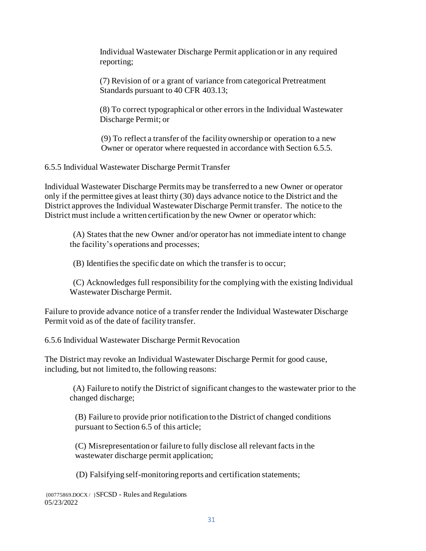Individual Wastewater Discharge Permit application or in any required reporting;

(7) Revision of or a grant of variance from categorical Pretreatment Standards pursuant to 40 CFR 403.13;

(8) To correct typographical or other errors in the Individual Wastewater Discharge Permit; or

(9) To reflect a transfer of the facility ownership or operation to a new Owner or operator where requested in accordance with Section 6.5.5.

6.5.5 Individual Wastewater Discharge Permit Transfer

Individual Wastewater Discharge Permits may be transferred to a new Owner or operator only if the permittee gives at least thirty (30) days advance notice to the District and the District approves the Individual Wastewater Discharge Permit transfer. The notice to the District must include a written certification by the new Owner or operator which:

(A) States that the new Owner and/or operator has not immediate intent to change the facility's operations and processes;

(B) Identifies the specific date on which the transfer is to occur;

(C) Acknowledges full responsibility for the complying with the existing Individual Wastewater Discharge Permit.

Failure to provide advance notice of a transfer render the Individual Wastewater Discharge Permit void as of the date of facility transfer.

6.5.6 Individual Wastewater Discharge Permit Revocation

The District may revoke an Individual Wastewater Discharge Permit for good cause, including, but not limited to, the following reasons:

(A) Failure to notify the District of significant changes to the wastewater prior to the changed discharge;

(B) Failure to provide prior notification to the District of changed conditions pursuant to Section 6.5 of this article;

(C) Misrepresentation or failure to fully disclose all relevant facts in the wastewater discharge permit application;

(D) Falsifying self-monitoring reports and certification statements;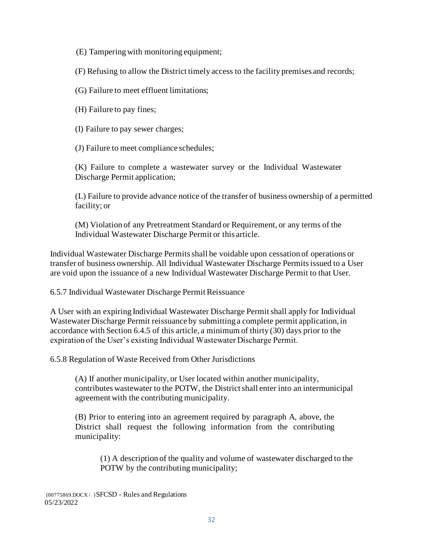(E) Tampering with monitoring equipment;

(F) Refusing to allow the District timely access to the facility premises and records;

(G) Failure to meet effluent limitations;

(H) Failure to pay fines;

(I) Failure to pay sewer charges;

(J) Failure to meet compliance schedules;

(K) Failure to complete a wastewater survey or the Individual Wastewater Discharge Permit application;

(L) Failure to provide advance notice of the transfer of business ownership of a permitted facility; or

(M) Violation of any Pretreatment Standard or Requirement, or any terms of the Individual Wastewater Discharge Permit or this article.

Individual Wastewater Discharge Permits shall be voidable upon cessation of operations or transfer of business ownership. All Individual Wastewater Discharge Permits issued to a User are void upon the issuance of a new Individual Wastewater Discharge Permit to that User.

6.5.7 Individual Wastewater Discharge Permit Reissuance

A User with an expiring Individual Wastewater Discharge Permit shall apply for Individual Wastewater Discharge Permit reissuance by submitting a complete permit application, in accordance with Section 6.4.5 of this article, a minimum of thirty (30) days prior to the expiration of the User's existing Individual Wastewater Discharge Permit.

6.5.8 Regulation of Waste Received from Other Jurisdictions

(A) If another municipality, or User located within another municipality, contributes wastewater to the POTW, the District shall enter into an intermunicipal agreement with the contributing municipality.

(B) Prior to entering into an agreement required by paragraph A, above, the District shall request the following information from the contributing municipality:

(1) A description of the quality and volume of wastewater discharged to the POTW by the contributing municipality;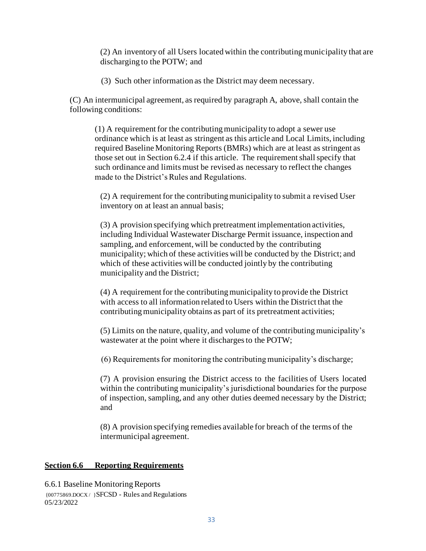(2) An inventory of all Users located within the contributing municipality that are discharging to the POTW; and

(3) Such other information as the District may deem necessary.

(C) An intermunicipal agreement, as required by paragraph A, above, shall contain the following conditions:

(1) A requirement for the contributing municipality to adopt a sewer use ordinance which is at least as stringent as this article and Local Limits, including required Baseline Monitoring Reports (BMRs) which are at least as stringent as those set out in Section 6.2.4 if this article. The requirement shall specify that such ordinance and limits must be revised as necessary to reflect the changes made to the District's Rules and Regulations.

(2) A requirement for the contributing municipality to submit a revised User inventory on at least an annual basis;

(3) A provision specifying which pretreatment implementation activities, including Individual Wastewater Discharge Permit issuance, inspection and sampling, and enforcement, will be conducted by the contributing municipality; which of these activities will be conducted by the District; and which of these activities will be conducted jointly by the contributing municipality and the District;

(4) A requirement for the contributing municipality to provide the District with access to all information related to Users within the District that the contributing municipality obtains as part of its pretreatment activities;

(5) Limits on the nature, quality, and volume of the contributingmunicipality's wastewater at the point where it discharges to the POTW;

(6) Requirements for monitoring the contributing municipality's discharge;

(7) A provision ensuring the District access to the facilities of Users located within the contributing municipality's jurisdictional boundaries for the purpose of inspection, sampling, and any other duties deemed necessary by the District; and

(8) A provision specifying remedies available for breach of the terms of the intermunicipal agreement.

## **Section 6.6 Reporting Requirements**

{00775869.DOCX / }SFCSD - Rules and Regulations 05/23/2022 6.6.1 Baseline Monitoring Reports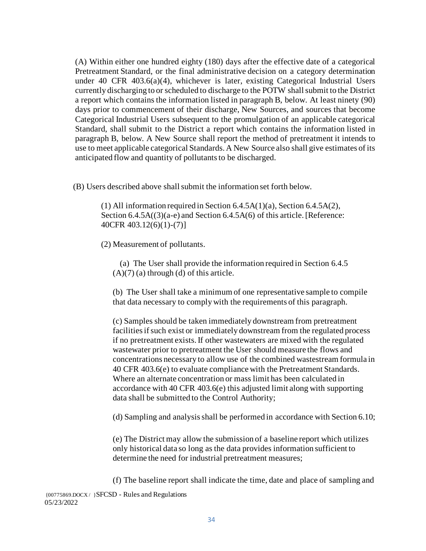(A) Within either one hundred eighty (180) days after the effective date of a categorical Pretreatment Standard, or the final administrative decision on a category determination under 40 CFR 403.6(a)(4), whichever is later, existing Categorical Industrial Users currently discharging to or scheduled to discharge to the POTW shall submit to the District a report which contains the information listed in paragraph B, below. At least ninety (90) days prior to commencement of their discharge, New Sources, and sources that become Categorical Industrial Users subsequent to the promulgation of an applicable categorical Standard, shall submit to the District a report which contains the information listed in paragraph B, below. A New Source shall report the method of pretreatment it intends to use to meet applicable categorical Standards. A New Source also shall give estimates of its anticipated flow and quantity of pollutants to be discharged.

(B) Users described above shall submit the information set forth below.

(1) All information required in Section 6.4.5A(1)(a), Section 6.4.5A(2), Section 6.4.5A((3)(a-e) and Section 6.4.5A(6) of this article. [Reference: 40CFR 403.12(6)(1)-(7)]

(2) Measurement of pollutants.

05/23/2022

(a) The User shall provide the information required in Section 6.4.5  $(A)(7)$  (a) through (d) of this article.

(b) The User shall take a minimum of one representative sample to compile that data necessary to comply with the requirements of this paragraph.

(c) Samples should be taken immediately downstream from pretreatment facilities if such exist or immediately downstream from the regulated process if no pretreatment exists. If other wastewaters are mixed with the regulated wastewater prior to pretreatment the User should measure the flows and concentrations necessary to allow use of the combined wastestream formula in 40 CFR 403.6(e) to evaluate compliance with the Pretreatment Standards. Where an alternate concentration or mass limit has been calculated in accordance with 40 CFR 403.6(e) this adjusted limit along with supporting data shall be submitted to the Control Authority;

(d) Sampling and analysis shall be performed in accordance with Section 6.10;

(e) The District may allow the submission of a baseline report which utilizes only historical data so long as the data provides information sufficient to determine the need for industrial pretreatment measures;

{00775869.DOCX / }SFCSD - Rules and Regulations (f) The baseline report shall indicate the time, date and place of sampling and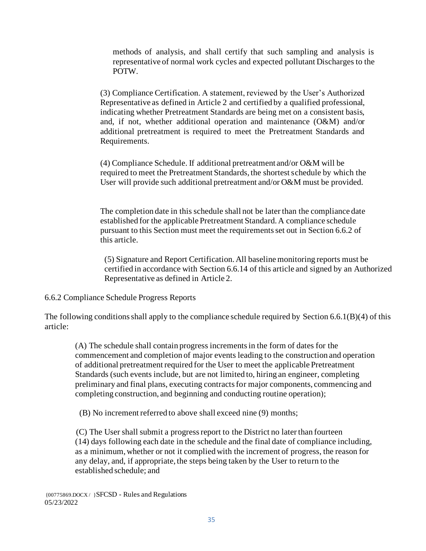methods of analysis, and shall certify that such sampling and analysis is representative of normal work cycles and expected pollutant Discharges to the POTW.

(3) Compliance Certification. A statement, reviewed by the User's Authorized Representative as defined in Article 2 and certified by a qualified professional, indicating whether Pretreatment Standards are being met on a consistent basis, and, if not, whether additional operation and maintenance (O&M) and/or additional pretreatment is required to meet the Pretreatment Standards and Requirements.

(4) Compliance Schedule. If additional pretreatment and/or O&M will be required to meet the Pretreatment Standards, the shortest schedule by which the User will provide such additional pretreatment and/or O&M must be provided.

The completion date in this schedule shall not be later than the compliance date established for the applicable Pretreatment Standard. A compliance schedule pursuant to this Section must meet the requirements set out in Section 6.6.2 of this article.

(5) Signature and Report Certification. All baseline monitoring reports must be certified in accordance with Section 6.6.14 of this article and signed by an Authorized Representative as defined in Article 2.

6.6.2 Compliance Schedule Progress Reports

The following conditions shall apply to the compliance schedule required by Section 6.6.1(B)(4) of this article:

(A) The schedule shall contain progress increments in the form of dates for the commencement and completion of major events leading to the construction and operation of additional pretreatment required for the User to meet the applicable Pretreatment Standards (such events include, but are not limited to, hiring an engineer, completing preliminary and final plans, executing contracts for major components, commencing and completing construction, and beginning and conducting routine operation);

(B) No increment referred to above shall exceed nine (9) months;

(C) The User shall submit a progress report to the District no later than fourteen (14) days following each date in the schedule and the final date of compliance including, as a minimum, whether or not it complied with the increment of progress, the reason for any delay, and, if appropriate, the steps being taken by the User to return to the established schedule; and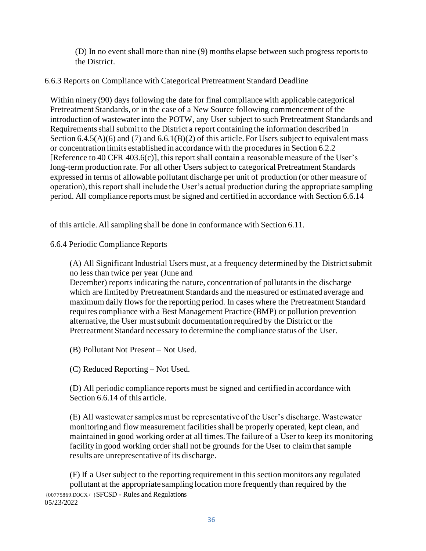(D) In no event shall more than nine (9) months elapse between such progress reports to the District.

# 6.6.3 Reports on Compliance with Categorical Pretreatment Standard Deadline

Within ninety (90) days following the date for final compliance with applicable categorical Pretreatment Standards, or in the case of a New Source following commencement of the introduction of wastewater into the POTW, any User subject to such Pretreatment Standards and Requirements shall submit to the District a report containing the information described in Section  $6.4.5(A)(6)$  and  $(7)$  and  $6.6.1(B)(2)$  of this article. For Users subject to equivalent mass or concentration limits established in accordance with the procedures in Section 6.2.2 [Reference to 40 CFR 403.6(c)], this report shall contain a reasonable measure of the User's long-term production rate. For all other Users subject to categorical Pretreatment Standards expressed in terms of allowable pollutant discharge per unit of production (or other measure of operation), this report shall include the User's actual production during the appropriate sampling period. All compliance reports must be signed and certified in accordance with Section 6.6.14

of this article. All sampling shall be done in conformance with Section 6.11.

6.6.4 Periodic Compliance Reports

(A) All Significant Industrial Users must, at a frequency determined by the District submit no less than twice per year (June and

December) reports indicating the nature, concentration of pollutants in the discharge which are limited by Pretreatment Standards and the measured or estimated average and maximum daily flows for the reporting period. In cases where the Pretreatment Standard requires compliance with a Best Management Practice (BMP) or pollution prevention alternative, the User must submit documentation required by the District or the Pretreatment Standard necessary to determine the compliance status of the User.

(B) Pollutant Not Present – Not Used.

(C) Reduced Reporting – Not Used.

(D) All periodic compliance reports must be signed and certified in accordance with Section 6.6.14 of this article.

(E) All wastewater samples must be representative of the User's discharge. Wastewater monitoring and flow measurement facilities shall be properly operated, kept clean, and maintained in good working order at all times. The failure of a User to keep its monitoring facility in good working order shall not be grounds for the User to claim that sample results are unrepresentative of its discharge.

{00775869.DOCX / }SFCSD - Rules and Regulations 05/23/2022 (F) If a User subject to the reporting requirement in this section monitors any regulated pollutant at the appropriate sampling location more frequently than required by the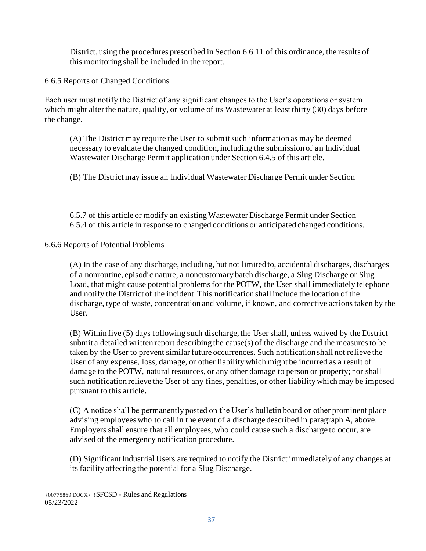District, using the procedures prescribed in Section 6.6.11 of this ordinance, the results of this monitoring shall be included in the report.

6.6.5 Reports of Changed Conditions

Each user must notify the District of any significant changes to the User's operations or system which might alter the nature, quality, or volume of its Wastewater at least thirty (30) days before the change.

(A) The District may require the User to submit such information as may be deemed necessary to evaluate the changed condition, including the submission of an Individual Wastewater Discharge Permit application under Section 6.4.5 of this article.

(B) The District may issue an Individual Wastewater Discharge Permit under Section

6.5.7 of this article or modify an existing Wastewater Discharge Permit under Section 6.5.4 of this article in response to changed conditions or anticipated changed conditions.

6.6.6 Reports of Potential Problems

(A) In the case of any discharge, including, but not limited to, accidental discharges, discharges of a nonroutine, episodic nature, a noncustomary batch discharge, a Slug Discharge or Slug Load, that might cause potential problems for the POTW, the User shall immediately telephone and notify the District of the incident. This notification shall include the location of the discharge, type of waste, concentration and volume, if known, and corrective actions taken by the User.

(B) Within five (5) days following such discharge, the User shall, unless waived by the District submit a detailed written report describing the cause(s) of the discharge and the measures to be taken by the User to prevent similar future occurrences. Such notification shall not relieve the User of any expense, loss, damage, or other liability which might be incurred as a result of damage to the POTW, natural resources, or any other damage to person or property; nor shall such notification relieve the User of any fines, penalties, or other liability which may be imposed pursuant to this article**.**

(C) A notice shall be permanently posted on the User's bulletin board or other prominent place advising employees who to call in the event of a discharge described in paragraph A, above. Employers shall ensure that all employees, who could cause such a discharge to occur, are advised of the emergency notification procedure.

(D) Significant Industrial Users are required to notify the District immediately of any changes at its facility affecting the potential for a Slug Discharge.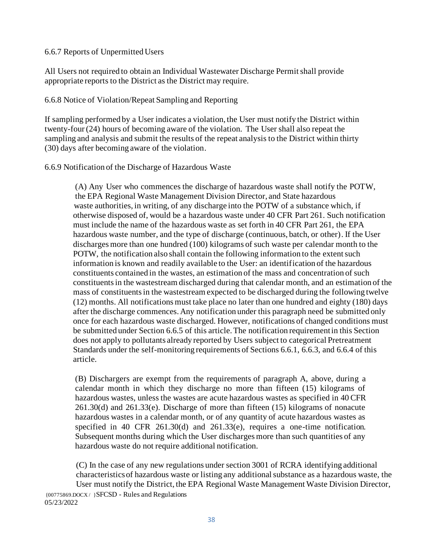### 6.6.7 Reports of Unpermitted Users

All Users not required to obtain an Individual Wastewater Discharge Permit shall provide appropriate reports to the District as the District may require.

## 6.6.8 Notice of Violation/Repeat Sampling and Reporting

If sampling performed by a User indicates a violation, the User must notify the District within twenty-four (24) hours of becoming aware of the violation. The User shall also repeat the sampling and analysis and submit the results of the repeat analysis to the District within thirty (30) days after becoming aware of the violation.

## 6.6.9 Notification of the Discharge of Hazardous Waste

(A) Any User who commences the discharge of hazardous waste shall notify the POTW, the EPA Regional Waste Management Division Director, and State hazardous waste authorities, in writing, of any discharge into the POTW of a substance which, if otherwise disposed of, would be a hazardous waste under 40 CFR Part 261. Such notification must include the name of the hazardous waste as set forth in 40 CFR Part 261, the EPA hazardous waste number, and the type of discharge (continuous, batch, or other). If the User discharges more than one hundred (100) kilograms of such waste per calendar month to the POTW, the notification also shall contain the following information to the extent such information is known and readily available to the User: an identification of the hazardous constituents contained in the wastes, an estimation of the mass and concentration of such constituents in the wastestream discharged during that calendar month, and an estimation of the mass of constituents in the wastestream expected to be discharged during the following twelve (12) months. All notifications must take place no later than one hundred and eighty (180) days after the discharge commences. Any notification under this paragraph need be submitted only once for each hazardous waste discharged. However, notifications of changed conditions must be submitted under Section 6.6.5 of this article. The notification requirement in this Section does not apply to pollutants already reported by Users subject to categorical Pretreatment Standards under the self-monitoring requirements of Sections 6.6.1, 6.6.3, and 6.6.4 of this article.

(B) Dischargers are exempt from the requirements of paragraph A, above, during a calendar month in which they discharge no more than fifteen (15) kilograms of hazardous wastes, unless the wastes are acute hazardous wastes as specified in 40 CFR 261.30(d) and 261.33(e). Discharge of more than fifteen (15) kilograms of nonacute hazardous wastes in a calendar month, or of any quantity of acute hazardous wastes as specified in 40 CFR 261.30(d) and 261.33(e), requires a one-time notification. Subsequent months during which the User discharges more than such quantities of any hazardous waste do not require additional notification.

(C) In the case of any new regulations under section 3001 of RCRA identifying additional characteristics of hazardous waste or listing any additional substance as a hazardous waste, the User must notify the District, the EPA Regional Waste Management Waste Division Director,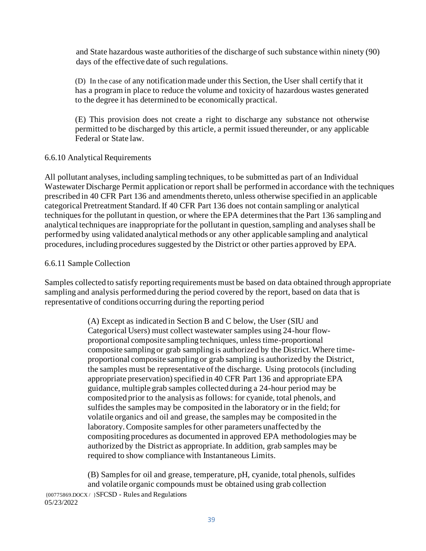and State hazardous waste authorities of the discharge of such substance within ninety (90) days of the effective date of such regulations.

(D) In the case of any notification made under this Section, the User shall certify that it has a program in place to reduce the volume and toxicity of hazardous wastes generated to the degree it has determined to be economically practical.

(E) This provision does not create a right to discharge any substance not otherwise permitted to be discharged by this article, a permit issued thereunder, or any applicable Federal or State law.

## 6.6.10 Analytical Requirements

All pollutant analyses, including sampling techniques, to be submitted as part of an Individual Wastewater Discharge Permit application or report shall be performed in accordance with the techniques prescribed in 40 CFR Part 136 and amendments thereto, unless otherwise specified in an applicable categorical Pretreatment Standard. If 40 CFR Part 136 does not contain sampling or analytical techniques for the pollutant in question, or where the EPA determines that the Part 136 sampling and analytical techniques are inappropriate for the pollutant in question, sampling and analyses shall be performed by using validated analytical methods or any other applicable sampling and analytical procedures, including procedures suggested by the District or other parties approved by EPA.

## 6.6.11 Sample Collection

Samples collected to satisfy reporting requirements must be based on data obtained through appropriate sampling and analysis performed during the period covered by the report, based on data that is representative of conditions occurring during the reporting period

> (A) Except as indicated in Section B and C below, the User (SIU and Categorical Users) must collect wastewater samples using 24-hour flowproportional composite sampling techniques, unless time-proportional composite sampling or grab sampling is authorized by the District. Where timeproportional composite sampling or grab sampling is authorized by the District, the samples must be representative of the discharge. Using protocols (including appropriate preservation) specified in 40 CFR Part 136 and appropriate EPA guidance, multiple grab samples collected during a 24-hour period may be composited prior to the analysis as follows: for cyanide, total phenols, and sulfides the samples may be composited in the laboratory or in the field; for volatile organics and oil and grease, the samples may be composited in the laboratory. Composite samples for other parameters unaffected by the compositing procedures as documented in approved EPA methodologies may be authorized by the District as appropriate. In addition, grab samples may be required to show compliance with Instantaneous Limits.

{00775869.DOCX / }SFCSD - Rules and Regulations 05/23/2022 (B) Samples for oil and grease, temperature, pH, cyanide, total phenols, sulfides and volatile organic compounds must be obtained using grab collection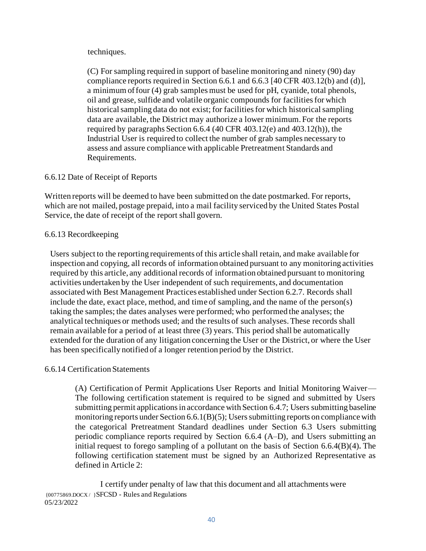### techniques.

(C) For sampling required in support of baseline monitoring and ninety (90) day compliance reports required in Section 6.6.1 and 6.6.3 [40 CFR 403.12(b) and (d)], a minimum offour (4) grab samples must be used for pH, cyanide, total phenols, oil and grease, sulfide and volatile organic compounds for facilities for which historical sampling data do not exist; for facilities for which historical sampling data are available, the District may authorize a lower minimum. For the reports required by paragraphs Section 6.6.4 (40 CFR 403.12(e) and 403.12(h)), the Industrial User is required to collect the number of grab samples necessary to assess and assure compliance with applicable Pretreatment Standards and Requirements.

## 6.6.12 Date of Receipt of Reports

Written reports will be deemed to have been submitted on the date postmarked. For reports, which are not mailed, postage prepaid, into a mail facility serviced by the United States Postal Service, the date of receipt of the report shall govern.

## 6.6.13 Recordkeeping

Users subject to the reporting requirements of this article shall retain, and make available for inspection and copying, all records of information obtained pursuant to any monitoring activities required by this article, any additional records of information obtained pursuant to monitoring activities undertaken by the User independent of such requirements, and documentation associated with Best Management Practices established under Section 6.2.7. Records shall include the date, exact place, method, and time of sampling, and the name of the person(s) taking the samples; the dates analyses were performed; who performed the analyses; the analytical techniques or methods used; and the results of such analyses. These records shall remain available for a period of at least three (3) years. This period shall be automatically extended for the duration of any litigation concerning the User or the District, or where the User has been specifically notified of a longer retention period by the District.

## 6.6.14 Certification Statements

(A) Certification of Permit Applications User Reports and Initial Monitoring Waiver— The following certification statement is required to be signed and submitted by Users submitting permit applications in accordance with Section 6.4.7; Users submitting baseline monitoring reports under Section 6.6.1(B)(5); Users submitting reports on compliance with the categorical Pretreatment Standard deadlines under Section 6.3 Users submitting periodic compliance reports required by Section 6.6.4 (A–D), and Users submitting an initial request to forego sampling of a pollutant on the basis of Section 6.6.4(B)(4)**.** The following certification statement must be signed by an Authorized Representative as defined in Article 2:

{00775869.DOCX / }SFCSD - Rules and Regulations 05/23/2022 I certify under penalty of law that this document and all attachments were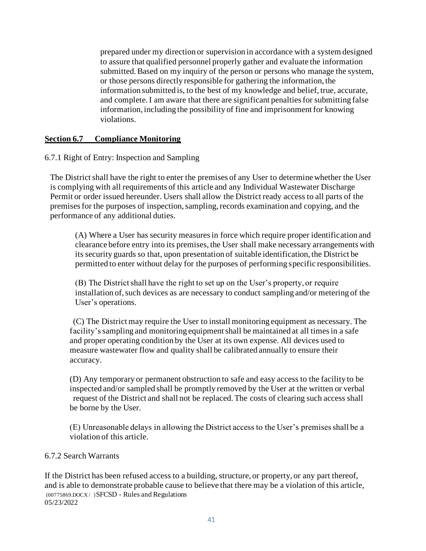prepared under my direction or supervision in accordance with a system designed to assure that qualified personnel properly gather and evaluate the information submitted. Based on my inquiry of the person or persons who manage the system, or those persons directly responsible for gathering the information, the information submitted is, to the best of my knowledge and belief, true, accurate, and complete. I am aware that there are significant penalties for submitting false information, including the possibility of fine and imprisonment for knowing violations.

## **Section 6.7 Compliance Monitoring**

6.7.1 Right of Entry: Inspection and Sampling

The District shall have the right to enter the premises of any User to determine whether the User is complying with all requirements of this article and any Individual Wastewater Discharge Permit or order issued hereunder. Users shall allow the District ready access to all parts of the premises for the purposes of inspection, sampling, records examination and copying, and the performance of any additional duties.

(A) Where a User has security measures in force which require proper identification and clearance before entry into its premises, the User shall make necessary arrangements with its security guards so that, upon presentation of suitable identification, the District be permitted to enter without delay for the purposes of performing specific responsibilities.

(B) The District shall have the right to set up on the User's property, or require installation of, such devices as are necessary to conduct sampling and/or metering of the User's operations.

(C) The District may require the User to install monitoring equipment as necessary. The facility's sampling and monitoring equipment shall be maintained at all times in a safe and proper operating condition by the User at its own expense. All devices used to measure wastewater flow and quality shall be calibrated annually to ensure their accuracy.

(D) Any temporary or permanent obstruction to safe and easy access to the facility to be inspected and/or sampled shall be promptly removed by the User at the written or verbal request of the District and shall not be replaced. The costs of clearing such access shall be borne by the User.

(E) Unreasonable delays in allowing the District access to the User's premises shall be a violation of this article.

### 6.7.2 Search Warrants

{00775869.DOCX / }SFCSD - Rules and Regulations 05/23/2022 If the District has been refused access to a building, structure, or property, or any part thereof, and is able to demonstrate probable cause to believe that there may be a violation of this article,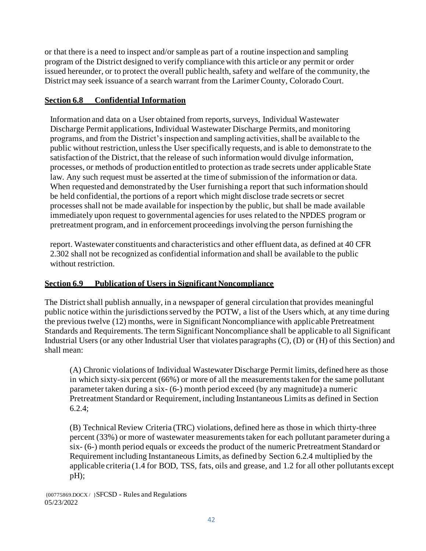or that there is a need to inspect and/or sample as part of a routine inspection and sampling program of the District designed to verify compliance with this article or any permit or order issued hereunder, or to protect the overall public health, safety and welfare of the community, the District may seek issuance of a search warrant from the Larimer County, Colorado Court.

## **Section 6.8 Confidential Information**

Information and data on a User obtained from reports, surveys, Individual Wastewater Discharge Permit applications, Individual Wastewater Discharge Permits, and monitoring programs, and from the District's inspection and sampling activities, shall be available to the public without restriction, unless the User specifically requests, and is able to demonstrate to the satisfaction of the District, that the release of such information would divulge information, processes, or methods of production entitled to protection as trade secrets under applicable State law. Any such request must be asserted at the time of submission of the information or data. When requested and demonstrated by the User furnishing a report that such information should be held confidential, the portions of a report which might disclose trade secrets or secret processes shall not be made available for inspection by the public, but shall be made available immediately upon request to governmental agencies for uses related to the NPDES program or pretreatment program, and in enforcement proceedings involving the person furnishing the

report. Wastewater constituents and characteristics and other effluent data, as defined at 40 CFR 2.302 shall not be recognized as confidential information and shall be available to the public without restriction.

# **Section 6.9 Publication of Users in Significant Noncompliance**

The District shall publish annually, in a newspaper of general circulation that provides meaningful public notice within the jurisdictions served by the POTW, a list of the Users which, at any time during the previous twelve (12) months, were in Significant Noncompliance with applicable Pretreatment Standards and Requirements. The term Significant Noncompliance shall be applicable to all Significant Industrial Users (or any other Industrial User that violates paragraphs (C), (D) or (H) of this Section) and shall mean:

(A) Chronic violations of Individual Wastewater Discharge Permit limits, defined here as those in which sixty-six percent (66%) or more of all the measurements taken for the same pollutant parameter taken during a six- (6-) month period exceed (by any magnitude) a numeric Pretreatment Standard or Requirement, including Instantaneous Limits as defined in Section 6.2.4;

(B) Technical Review Criteria (TRC) violations, defined here as those in which thirty-three percent (33%) or more of wastewater measurements taken for each pollutant parameter during a six- (6-) month period equals or exceeds the product of the numeric Pretreatment Standard or Requirement including Instantaneous Limits, as defined by Section 6.2.4 multiplied by the applicable criteria (1.4 for BOD, TSS, fats, oils and grease, and 1.2 for all other pollutants except pH);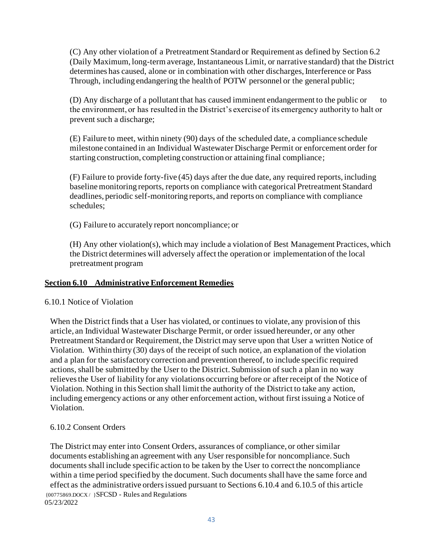(C) Any other violation of a Pretreatment Standard or Requirement as defined by Section 6.2 (Daily Maximum, long-term average, Instantaneous Limit, or narrative standard) that the District determines has caused, alone or in combination with other discharges, Interference or Pass Through, including endangering the health of POTW personnel or the general public;

(D) Any discharge of a pollutant that has caused imminent endangerment to the public or to the environment, or has resulted in the District's exercise of its emergency authority to halt or prevent such a discharge;

(E) Failure to meet, within ninety (90) days of the scheduled date, a compliance schedule milestone contained in an Individual Wastewater Discharge Permit or enforcement order for starting construction, completing construction or attaining final compliance;

(F) Failure to provide forty-five (45) days after the due date, any required reports, including baseline monitoring reports, reports on compliance with categorical Pretreatment Standard deadlines, periodic self-monitoring reports, and reports on compliance with compliance schedules;

(G) Failure to accurately report noncompliance; or

(H) Any other violation(s), which may include a violation of Best Management Practices, which the District determines will adversely affect the operation or implementation of the local pretreatment program

## **Section 6.10 Administrative Enforcement Remedies**

### 6.10.1 Notice of Violation

When the District finds that a User has violated, or continues to violate, any provision of this article, an Individual Wastewater Discharge Permit, or order issued hereunder, or any other Pretreatment Standard or Requirement, the District may serve upon that User a written Notice of Violation. Within thirty (30) days of the receipt of such notice, an explanation of the violation and a plan for the satisfactory correction and prevention thereof, to include specific required actions, shall be submitted by the User to the District. Submission of such a plan in no way relieves the User of liability for any violations occurring before or after receipt of the Notice of Violation. Nothing in this Section shall limit the authority of the District to take any action, including emergency actions or any other enforcement action, without first issuing a Notice of Violation.

## 6.10.2 Consent Orders

{00775869.DOCX / }SFCSD - Rules and Regulations 05/23/2022 The District may enter into Consent Orders, assurances of compliance, or other similar documents establishing an agreement with any User responsible for noncompliance. Such documents shall include specific action to be taken by the User to correct the noncompliance within a time period specified by the document. Such documents shall have the same force and effect as the administrative orders issued pursuant to Sections 6.10.4 and 6.10.5 of this article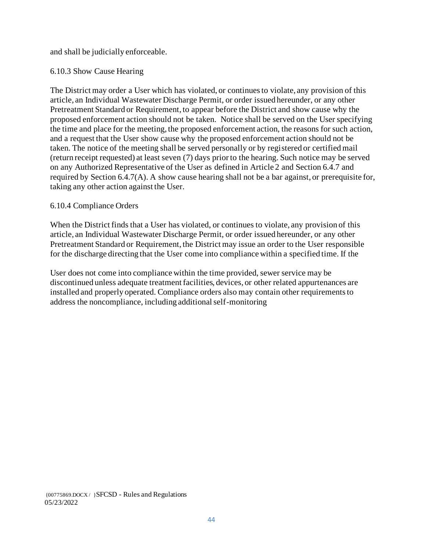and shall be judicially enforceable.

## 6.10.3 Show Cause Hearing

The District may order a User which has violated, or continues to violate, any provision of this article, an Individual Wastewater Discharge Permit, or order issued hereunder, or any other Pretreatment Standard or Requirement, to appear before the District and show cause why the proposed enforcement action should not be taken. Notice shall be served on the User specifying the time and place for the meeting, the proposed enforcement action, the reasons for such action, and a request that the User show cause why the proposed enforcement action should not be taken. The notice of the meeting shall be served personally or by registered or certified mail (return receipt requested) at least seven (7) days prior to the hearing. Such notice may be served on any Authorized Representative of the User as defined in Article 2 and Section 6.4.7 and required by Section 6.4.7(A). A show cause hearing shall not be a bar against, or prerequisite for, taking any other action against the User.

## 6.10.4 Compliance Orders

When the District finds that a User has violated, or continues to violate, any provision of this article, an Individual Wastewater Discharge Permit, or order issued hereunder, or any other Pretreatment Standard or Requirement, the District may issue an order to the User responsible for the discharge directing that the User come into compliance within a specified time. If the

User does not come into compliance within the time provided, sewer service may be discontinued unless adequate treatment facilities, devices, or other related appurtenances are installed and properly operated. Compliance orders also may contain other requirements to address the noncompliance, including additional self-monitoring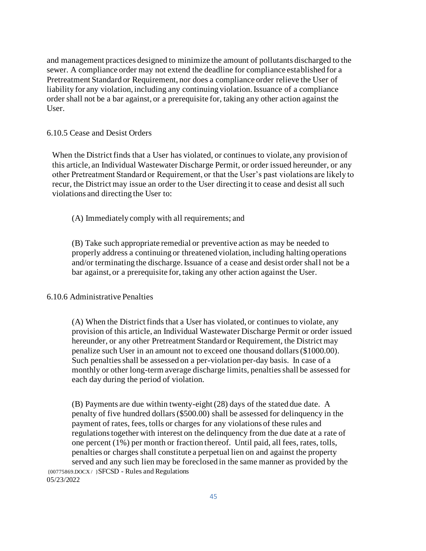and management practices designed to minimize the amount of pollutants discharged to the sewer. A compliance order may not extend the deadline for compliance established for a Pretreatment Standard or Requirement, nor does a compliance order relieve the User of liability for any violation, including any continuing violation. Issuance of a compliance order shall not be a bar against, or a prerequisite for, taking any other action against the User.

#### 6.10.5 Cease and Desist Orders

When the District finds that a User has violated, or continues to violate, any provision of this article, an Individual Wastewater Discharge Permit, or order issued hereunder, or any other Pretreatment Standard or Requirement, or that the User's past violations are likely to recur, the District may issue an order to the User directing it to cease and desist all such violations and directing the User to:

(A) Immediately comply with all requirements; and

(B) Take such appropriate remedial or preventive action as may be needed to properly address a continuing or threatened violation, including halting operations and/or terminating the discharge. Issuance of a cease and desist order shall not be a bar against, or a prerequisite for, taking any other action against the User.

#### 6.10.6 Administrative Penalties

(A) When the District finds that a User has violated, or continues to violate, any provision of this article, an Individual Wastewater Discharge Permit or order issued hereunder, or any other Pretreatment Standard or Requirement, the District may penalize such User in an amount not to exceed one thousand dollars (\$1000.00). Such penalties shall be assessed on a per-violation per-day basis. In case of a monthly or other long-term average discharge limits, penalties shall be assessed for each day during the period of violation.

{00775869.DOCX / }SFCSD - Rules and Regulations 05/23/2022 (B) Payments are due within twenty-eight (28) days of the stated due date. A penalty of five hundred dollars(\$500.00) shall be assessed for delinquency in the payment of rates, fees, tolls or charges for any violations of these rules and regulations together with interest on the delinquency from the due date at a rate of one percent (1%) per month or fraction thereof. Until paid, all fees, rates, tolls, penalties or charges shall constitute a perpetual lien on and against the property served and any such lien may be foreclosed in the same manner as provided by the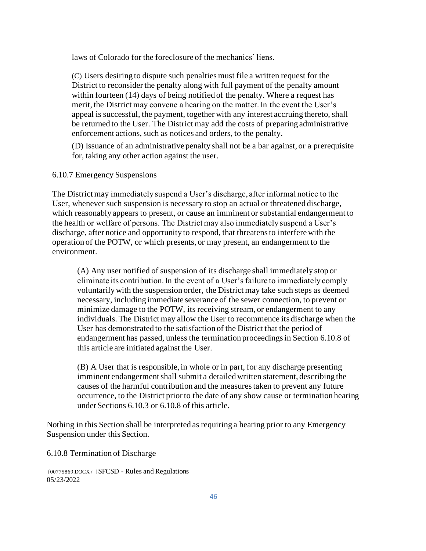laws of Colorado for the foreclosure of the mechanics' liens.

(C) Users desiring to dispute such penalties must file a written request for the District to reconsider the penalty along with full payment of the penalty amount within fourteen (14) days of being notified of the penalty. Where a request has merit, the District may convene a hearing on the matter. In the event the User's appeal is successful, the payment, together with any interest accruing thereto, shall be returned to the User. The District may add the costs of preparing administrative enforcement actions, such as notices and orders, to the penalty.

(D) Issuance of an administrative penalty shall not be a bar against, or a prerequisite for, taking any other action against the user.

6.10.7 Emergency Suspensions

The District may immediately suspend a User's discharge, after informal notice to the User, whenever such suspension is necessary to stop an actual or threatened discharge, which reasonably appears to present, or cause an imminent or substantial endangerment to the health or welfare of persons. The District may also immediately suspend a User's discharge, after notice and opportunity to respond, that threatens to interfere with the operation of the POTW, or which presents, or may present, an endangerment to the environment.

(A) Any user notified of suspension of its discharge shall immediately stop or eliminate its contribution. In the event of a User's failure to immediately comply voluntarily with the suspension order, the District may take such steps as deemed necessary, including immediate severance of the sewer connection, to prevent or minimize damage to the POTW, its receiving stream, or endangerment to any individuals. The District may allow the User to recommence its discharge when the User has demonstrated to the satisfaction of the District that the period of endangerment has passed, unless the termination proceedings in Section 6.10.8 of this article are initiated against the User.

(B) A User that is responsible, in whole or in part, for any discharge presenting imminent endangerment shall submit a detailed written statement, describing the causes of the harmful contribution and the measures taken to prevent any future occurrence, to the District prior to the date of any show cause or termination hearing underSections 6.10.3 or 6.10.8 of this article.

Nothing in this Section shall be interpreted as requiring a hearing prior to any Emergency Suspension under this Section.

6.10.8 Termination of Discharge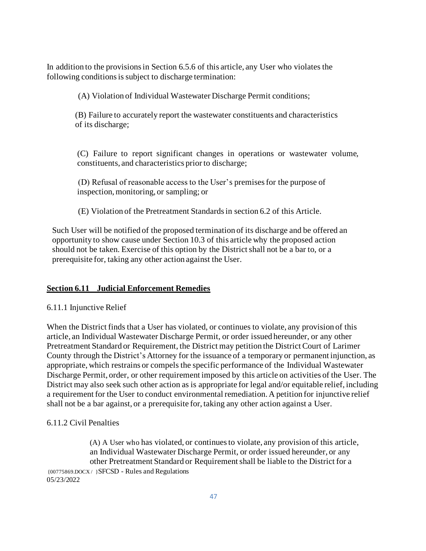In addition to the provisions in Section 6.5.6 of this article, any User who violates the following conditions is subject to discharge termination:

(A) Violation of Individual Wastewater Discharge Permit conditions;

(B) Failure to accurately report the wastewater constituents and characteristics of its discharge;

(C) Failure to report significant changes in operations or wastewater volume, constituents, and characteristics prior to discharge;

(D) Refusal of reasonable access to the User's premises for the purpose of inspection, monitoring, or sampling; or

(E) Violation of the Pretreatment Standards in section 6.2 of this Article.

Such User will be notified of the proposed termination of its discharge and be offered an opportunity to show cause under Section 10.3 of this article why the proposed action should not be taken. Exercise of this option by the District shall not be a bar to, or a prerequisite for, taking any other action against the User.

#### **Section 6.11 Judicial Enforcement Remedies**

#### 6.11.1 Injunctive Relief

When the District finds that a User has violated, or continues to violate, any provision of this article, an Individual Wastewater Discharge Permit, or order issued hereunder, or any other Pretreatment Standard or Requirement, the District may petition the District Court of Larimer County through the District's Attorney for the issuance of a temporary or permanent injunction, as appropriate, which restrains or compels the specific performance of the Individual Wastewater Discharge Permit, order, or other requirement imposed by this article on activities of the User. The District may also seek such other action as is appropriate for legal and/or equitable relief, including a requirement for the User to conduct environmental remediation. A petition for injunctive relief shall not be a bar against, or a prerequisite for, taking any other action against a User.

#### 6.11.2 Civil Penalties

{00775869.DOCX / }SFCSD - Rules and Regulations 05/23/2022 (A) A User who has violated, or continues to violate, any provision of this article, an Individual Wastewater Discharge Permit, or order issued hereunder, or any other Pretreatment Standard or Requirement shall be liable to the District for a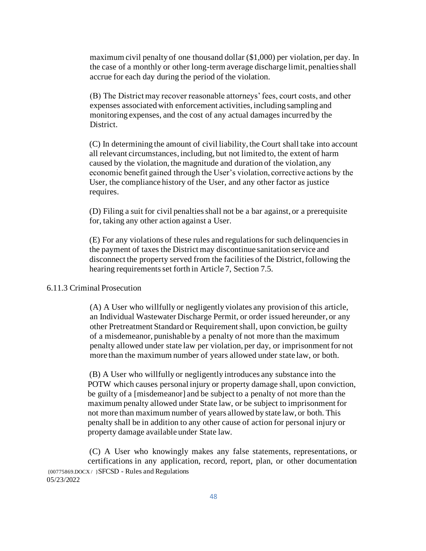maximum civil penalty of one thousand dollar (\$1,000) per violation, per day. In the case of a monthly or other long-term average discharge limit, penalties shall accrue for each day during the period of the violation.

(B) The District may recover reasonable attorneys' fees, court costs, and other expenses associated with enforcement activities, including sampling and monitoring expenses, and the cost of any actual damages incurred by the District.

(C) In determining the amount of civil liability, the Court shall take into account all relevant circumstances, including, but not limited to, the extent of harm caused by the violation, the magnitude and duration of the violation, any economic benefit gained through the User's violation, corrective actions by the User, the compliance history of the User, and any other factor as justice requires.

(D) Filing a suit for civil penalties shall not be a bar against, or a prerequisite for, taking any other action against a User.

(E) For any violations of these rules and regulations for such delinquencies in the payment of taxes the District may discontinue sanitation service and disconnect the property served from the facilities of the District, following the hearing requirements set forth in Article 7, Section 7.5.

#### 6.11.3 Criminal Prosecution

(A) A User who willfully or negligently violates any provision of this article, an Individual Wastewater Discharge Permit, or order issued hereunder, or any other Pretreatment Standard or Requirement shall, upon conviction, be guilty of a misdemeanor, punishable by a penalty of not more than the maximum penalty allowed under state law per violation, per day, or imprisonment for not more than the maximum number of years allowed under state law, or both.

(B) A User who willfully or negligently introduces any substance into the POTW which causes personal injury or property damage shall, upon conviction, be guilty of a [misdemeanor] and be subject to a penalty of not more than the maximum penalty allowed under State law, or be subject to imprisonment for not more than maximum number of years allowed by state law, or both. This penalty shall be in addition to any other cause of action for personal injury or property damage available under State law.

{00775869.DOCX / }SFCSD - Rules and Regulations 05/23/2022 (C) A User who knowingly makes any false statements, representations, or certifications in any application, record, report, plan, or other documentation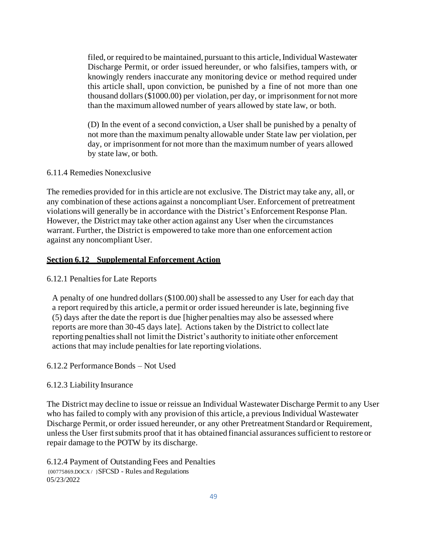filed, or required to be maintained, pursuant to this article, Individual Wastewater Discharge Permit, or order issued hereunder, or who falsifies, tampers with, or knowingly renders inaccurate any monitoring device or method required under this article shall, upon conviction, be punished by a fine of not more than one thousand dollars (\$1000.00) per violation, per day, or imprisonment for not more than the maximum allowed number of years allowed by state law, or both.

(D) In the event of a second conviction, a User shall be punished by a penalty of not more than the maximum penalty allowable under State law per violation, per day, or imprisonment for not more than the maximum number of years allowed by state law, or both.

#### 6.11.4 Remedies Nonexclusive

The remedies provided for in this article are not exclusive. The District may take any, all, or any combination of these actions against a noncompliant User. Enforcement of pretreatment violations will generally be in accordance with the District's Enforcement Response Plan. However, the District may take other action against any User when the circumstances warrant. Further, the District is empowered to take more than one enforcement action against any noncompliant User.

#### **Section 6.12 Supplemental Enforcement Action**

#### 6.12.1 Penalties for Late Reports

A penalty of one hundred dollars (\$100.00) shall be assessed to any User for each day that a report required by this article, a permit or order issued hereunder is late, beginning five (5) days after the date the report is due [higher penalties may also be assessed where reports are more than 30-45 days late]. Actions taken by the District to collect late reporting penalties shall not limit the District's authority to initiate other enforcement actions that may include penalties for late reporting violations.

#### 6.12.2 Performance Bonds – Not Used

#### 6.12.3 Liability Insurance

The District may decline to issue or reissue an Individual Wastewater Discharge Permit to any User who has failed to comply with any provision of this article, a previous Individual Wastewater Discharge Permit, or order issued hereunder, or any other Pretreatment Standard or Requirement, unless the User first submits proof that it has obtained financial assurances sufficient to restore or repair damage to the POTW by its discharge.

{00775869.DOCX / }SFCSD - Rules and Regulations 05/23/2022 6.12.4 Payment of Outstanding Fees and Penalties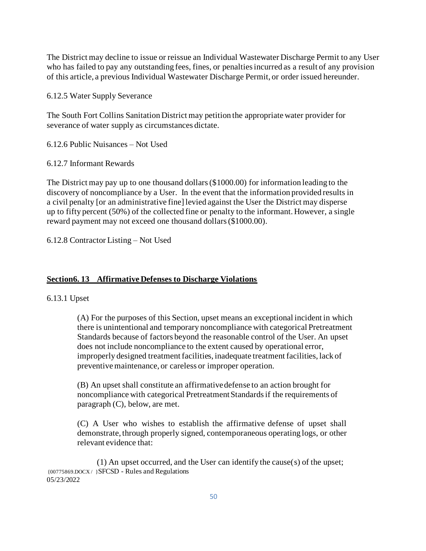The District may decline to issue or reissue an Individual Wastewater Discharge Permit to any User who has failed to pay any outstanding fees, fines, or penalties incurred as a result of any provision of this article, a previous Individual Wastewater Discharge Permit, or order issued hereunder.

6.12.5 Water Supply Severance

The South Fort Collins Sanitation District may petition the appropriate water provider for severance of water supply as circumstances dictate.

6.12.6 Public Nuisances – Not Used

6.12.7 Informant Rewards

The District may pay up to one thousand dollars (\$1000.00) for information leading to the discovery of noncompliance by a User. In the event that the information provided results in a civil penalty [or an administrative fine] levied against the User the District may disperse up to fifty percent (50%) of the collected fine or penalty to the informant. However, a single reward payment may not exceed one thousand dollars (\$1000.00).

6.12.8 Contractor Listing – Not Used

#### **Section6. 13 Affirmative Defenses to Discharge Violations**

6.13.1 Upset

(A) For the purposes of this Section, upset means an exceptional incident in which there is unintentional and temporary noncompliance with categorical Pretreatment Standards because of factors beyond the reasonable control of the User. An upset does not include noncompliance to the extent caused by operational error, improperly designed treatment facilities, inadequate treatment facilities, lack of preventive maintenance, or careless or improper operation.

(B) An upset shall constitute an affirmative defense to an action brought for noncompliance with categorical Pretreatment Standards if the requirements of paragraph (C), below, are met.

(C) A User who wishes to establish the affirmative defense of upset shall demonstrate, through properly signed, contemporaneous operating logs, or other relevant evidence that:

{00775869.DOCX / }SFCSD - Rules and Regulations 05/23/2022 (1) An upset occurred, and the User can identify the cause(s) of the upset;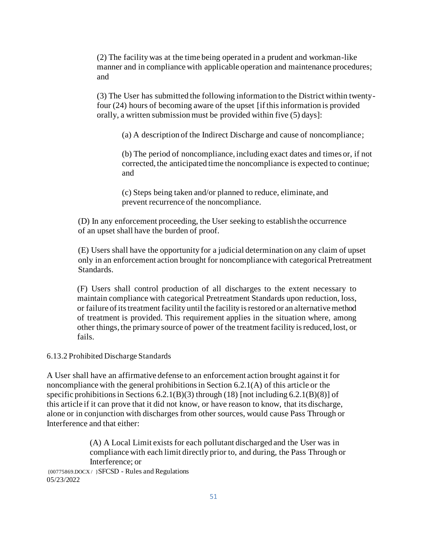(2) The facility was at the time being operated in a prudent and workman-like manner and in compliance with applicable operation and maintenance procedures; and

(3) The User has submitted the following information to the District within twentyfour (24) hours of becoming aware of the upset [if this information is provided orally, a written submission must be provided within five (5) days]:

(a) A description of the Indirect Discharge and cause of noncompliance;

(b) The period of noncompliance, including exact dates and times or, if not corrected, the anticipated time the noncompliance is expected to continue; and

(c) Steps being taken and/or planned to reduce, eliminate, and prevent recurrence of the noncompliance.

(D) In any enforcement proceeding, the User seeking to establish the occurrence of an upset shall have the burden of proof.

(E) Users shall have the opportunity for a judicial determination on any claim of upset only in an enforcement action brought for noncompliance with categorical Pretreatment Standards.

(F) Users shall control production of all discharges to the extent necessary to maintain compliance with categorical Pretreatment Standards upon reduction, loss, or failure of its treatment facility until the facility is restored or an alternative method of treatment is provided. This requirement applies in the situation where, among other things, the primary source of power of the treatment facility is reduced, lost, or fails.

#### 6.13.2 Prohibited Discharge Standards

A User shall have an affirmative defense to an enforcement action brought against it for noncompliance with the general prohibitions in Section 6.2.1(A) of this article or the specific prohibitions in Sections 6.2.1(B)(3) through (18) [not including 6.2.1(B)(8)] of this article if it can prove that it did not know, or have reason to know, that its discharge, alone or in conjunction with discharges from other sources, would cause Pass Through or Interference and that either:

> (A) A Local Limit exists for each pollutant discharged and the User was in compliance with each limit directly prior to, and during, the Pass Through or Interference; or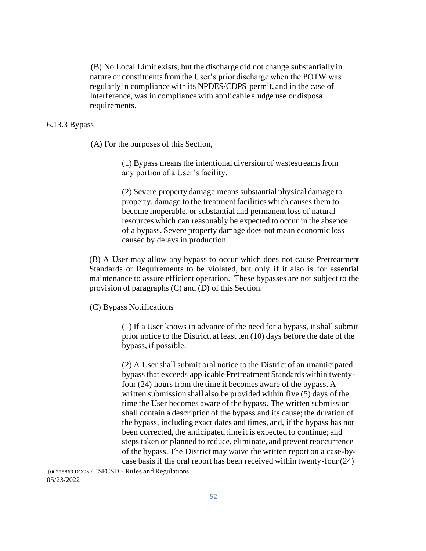(B) No Local Limit exists, but the discharge did not change substantially in nature or constituents from the User's prior discharge when the POTW was regularly in compliance with its NPDES/CDPS permit, and in the case of Interference, was in compliance with applicable sludge use or disposal requirements.

#### 6.13.3 Bypass

(A) For the purposes of this Section,

(1) Bypass means the intentional diversion of wastestreams from any portion of a User's facility.

(2) Severe property damage means substantial physical damage to property, damage to the treatment facilities which causes them to become inoperable, or substantial and permanent loss of natural resources which can reasonably be expected to occur in the absence of a bypass. Severe property damage does not mean economic loss caused by delays in production.

(B) A User may allow any bypass to occur which does not cause Pretreatment Standards or Requirements to be violated, but only if it also is for essential maintenance to assure efficient operation. These bypasses are not subject to the provision of paragraphs (C) and (D) of this Section.

(C) Bypass Notifications

(1) If a User knows in advance of the need for a bypass, it shall submit prior notice to the District, at least ten (10) days before the date of the bypass, if possible.

(2) A User shall submit oral notice to the District of an unanticipated bypass that exceeds applicable Pretreatment Standards within twentyfour (24) hours from the time it becomes aware of the bypass. A written submission shall also be provided within five (5) days of the time the User becomes aware of the bypass. The written submission shall contain a description of the bypass and its cause; the duration of the bypass, including exact dates and times, and, if the bypass has not been corrected, the anticipated time it is expected to continue; and steps taken or planned to reduce, eliminate, and prevent reoccurrence of the bypass. The District may waive the written report on a case-bycase basis if the oral report has been received within twenty-four (24)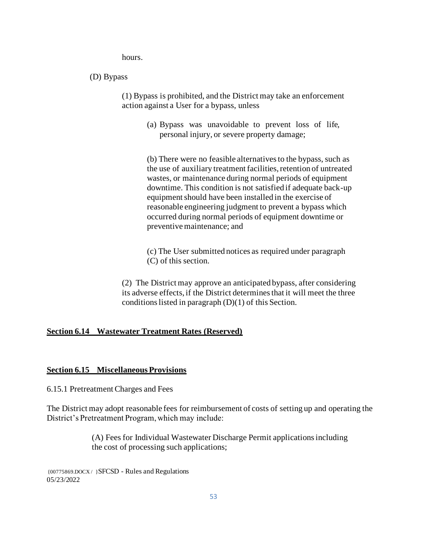hours.

#### (D) Bypass

(1) Bypass is prohibited, and the District may take an enforcement action against a User for a bypass, unless

> (a) Bypass was unavoidable to prevent loss of life, personal injury, or severe property damage;

(b) There were no feasible alternatives to the bypass, such as the use of auxiliary treatment facilities, retention of untreated wastes, or maintenance during normal periods of equipment downtime. This condition is not satisfied if adequate back-up equipment should have been installed in the exercise of reasonable engineering judgment to prevent a bypass which occurred during normal periods of equipment downtime or preventive maintenance; and

(c) The User submitted notices as required under paragraph (C) of this section.

(2) The District may approve an anticipated bypass, after considering its adverse effects, if the District determines that it will meet the three conditions listed in paragraph (D)(1) of this Section.

#### **Section 6.14 Wastewater Treatment Rates (Reserved)**

#### **Section 6.15 Miscellaneous Provisions**

6.15.1 Pretreatment Charges and Fees

The District may adopt reasonable fees for reimbursement of costs of setting up and operating the District's Pretreatment Program, which may include:

> (A) Fees for Individual Wastewater Discharge Permit applications including the cost of processing such applications;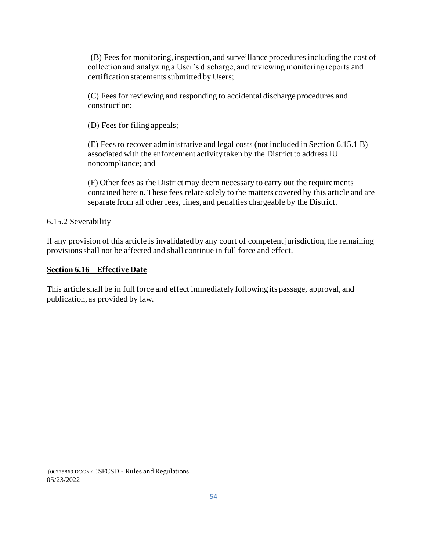(B) Fees for monitoring, inspection, and surveillance procedures including the cost of collection and analyzing a User's discharge, and reviewing monitoring reports and certification statements submitted by Users;

(C) Fees for reviewing and responding to accidental discharge procedures and construction;

(D) Fees for filing appeals;

(E) Fees to recover administrative and legal costs (not included in Section 6.15.1 B) associated with the enforcement activity taken by the District to address IU noncompliance; and

(F) Other fees as the District may deem necessary to carry out the requirements contained herein. These fees relate solely to the matters covered by this article and are separate from all other fees, fines, and penalties chargeable by the District.

6.15.2 Severability

If any provision of this article is invalidated by any court of competent jurisdiction, the remaining provisions shall not be affected and shall continue in full force and effect.

#### **Section 6.16 Effective Date**

This article shall be in full force and effect immediately following its passage, approval, and publication, as provided by law.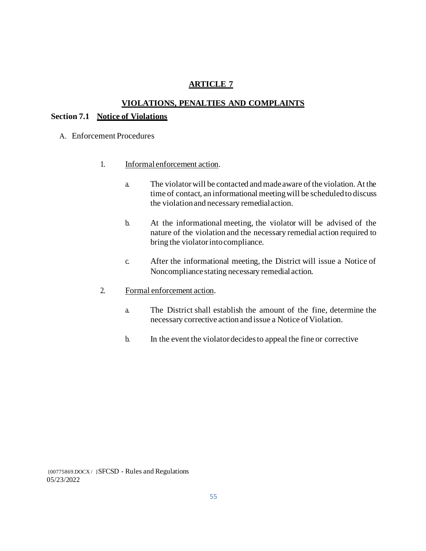## **ARTICLE 7**

#### **VIOLATIONS, PENALTIES AND COMPLAINTS**

#### **Section 7.1 Notice of Violations**

- A. Enforcement Procedures
	- 1. Informal enforcement action.
		- a. The violator will be contacted and made aware of the violation. At the time of contact, an informational meeting will be scheduled to discuss the violation and necessary remedialaction.
		- b. At the informational meeting, the violator will be advised of the nature of the violation and the necessary remedial action required to bring the violator intocompliance.
		- c. After the informational meeting, the District will issue a Notice of Noncompliance stating necessary remedial action.
	- 2. Formal enforcement action.
		- a. The District shall establish the amount of the fine, determine the necessary corrective action and issue a Notice of Violation.
		- b. In the event the violator decides to appeal the fine or corrective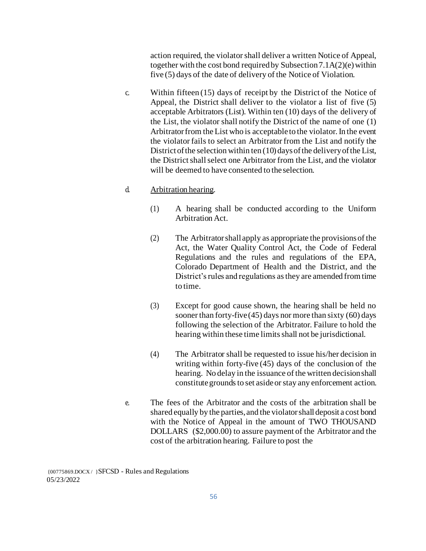action required, the violator shall deliver a written Notice of Appeal, together with the cost bond required by Subsection  $7.1A(2)(e)$  within five (5) days of the date of delivery of the Notice of Violation.

c. Within fifteen (15) days of receipt by the District of the Notice of Appeal, the District shall deliver to the violator a list of five (5) acceptable Arbitrators (List). Within ten (10) days of the delivery of the List, the violator shall notify the District of the name of one (1) Arbitrator from the List who is acceptable to the violator. In the event the violator fails to select an Arbitrator from the List and notify the District of the selection within ten  $(10)$  days of the delivery of the List, the District shall select one Arbitrator from the List, and the violator will be deemed to have consented to the selection.

#### d. Arbitration hearing.

- (1) A hearing shall be conducted according to the Uniform Arbitration Act.
- (2) The Arbitrator shall apply as appropriate the provisions of the Act, the Water Quality Control Act, the Code of Federal Regulations and the rules and regulations of the EPA, Colorado Department of Health and the District, and the District's rules and regulations as they are amended from time to time.
- (3) Except for good cause shown, the hearing shall be held no sooner than forty-five (45) days nor more than sixty (60) days following the selection of the Arbitrator. Failure to hold the hearing within these time limits shall not be jurisdictional.
- (4) The Arbitrator shall be requested to issue his/her decision in writing within forty-five (45) days of the conclusion of the hearing. No delay in the issuance of the written decision shall constitute grounds to set aside or stay any enforcement action.
- e. The fees of the Arbitrator and the costs of the arbitration shall be shared equally by the parties, and the violator shall deposit a cost bond with the Notice of Appeal in the amount of TWO THOUSAND DOLLARS (\$2,000.00) to assure payment of the Arbitrator and the cost of the arbitration hearing. Failure to post the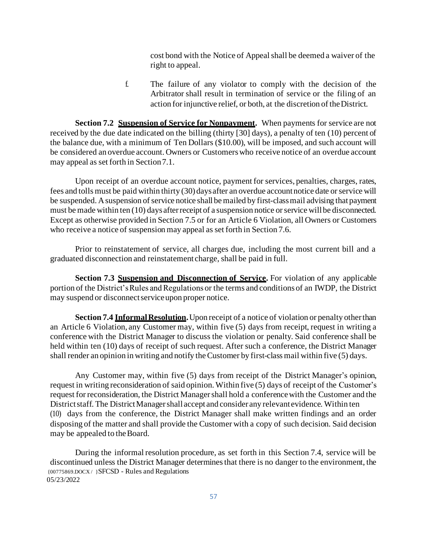cost bond with the Notice of Appeal shall be deemed a waiver of the right to appeal.

f. The failure of any violator to comply with the decision of the Arbitrator shall result in termination of service or the filing of an action for injunctive relief, or both, at the discretion of theDistrict.

**Section 7.2 Suspension of Service for Nonpayment.** When payments for service are not received by the due date indicated on the billing (thirty [30] days), a penalty of ten (10) percent of the balance due, with a minimum of Ten Dollars (\$10.00), will be imposed, and such account will be considered an overdue account. Owners or Customers who receive notice of an overdue account may appeal as set forth in Section7.1.

Upon receipt of an overdue account notice, payment for services, penalties, charges, rates, fees and tolls must be paid within thirty (30) days after an overdue account notice date or service will be suspended. A suspension of service notice shall be mailed by first-class mail advising that payment must be made within ten (10) days after receipt of a suspension notice or service will be disconnected. Except as otherwise provided in Section 7.5 or for an Article 6 Violation, all Owners or Customers who receive a notice of suspension may appeal as set forth in Section 7.6.

Prior to reinstatement of service, all charges due, including the most current bill and a graduated disconnection and reinstatement charge, shall be paid in full.

**Section 7.3 Suspension and Disconnection of Service.** For violation of any applicable portion of the District's Rules and Regulations or the terms and conditions of an IWDP, the District may suspend or disconnect service upon proper notice.

**Section 7.4 Informal Resolution.** Upon receipt of a notice of violation or penalty other than an Article 6 Violation, any Customer may, within five (5) days from receipt, request in writing a conference with the District Manager to discuss the violation or penalty. Said conference shall be held within ten (10) days of receipt of such request. After such a conference, the District Manager shall render an opinion in writing and notify the Customer by first-class mail within five (5) days.

Any Customer may, within five (5) days from receipt of the District Manager's opinion, request in writing reconsideration of said opinion. Within five (5) days of receipt of the Customer's request for reconsideration, the District Managershall hold a conference with the Customer and the District staff. The District Managershall accept and consider any relevant evidence. Within ten (10) days from the conference, the District Manager shall make written findings and an order disposing of the matter and shall provide the Customer with a copy of such decision. Said decision may be appealed to theBoard.

{00775869.DOCX / }SFCSD - Rules and Regulations 05/23/2022 During the informal resolution procedure, as set forth in this Section 7.4, service will be discontinued unless the District Manager determines that there is no danger to the environment, the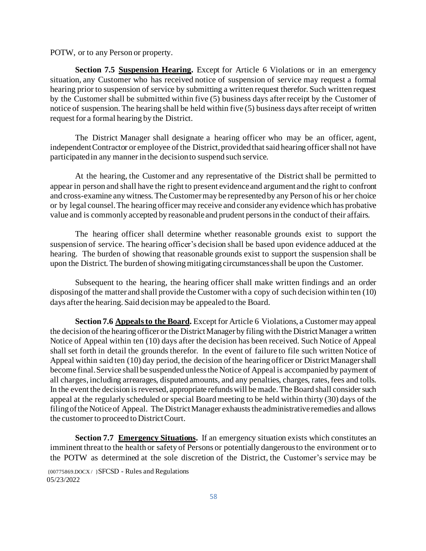POTW, or to any Person or property.

**Section 7.5 Suspension Hearing.** Except for Article 6 Violations or in an emergency situation, any Customer who has received notice of suspension of service may request a formal hearing prior to suspension of service by submitting a written request therefor. Such written request by the Customer shall be submitted within five (5) business days after receipt by the Customer of notice of suspension. The hearing shall be held within five (5) business days after receipt of written request for a formal hearing by the District.

The District Manager shall designate a hearing officer who may be an officer, agent, independent Contractor or employee of the District, provided that said hearing officer shall not have participated in any manner in the decision to suspend such service.

At the hearing, the Customer and any representative of the District shall be permitted to appear in person and shall have the right to present evidence and argument and the right to confront and cross-examine any witness. The Customer may be represented by any Person of his or her choice or by legal counsel. The hearing officer may receive and consider any evidence which has probative value and is commonly accepted by reasonable and prudent persons in the conduct of their affairs.

The hearing officer shall determine whether reasonable grounds exist to support the suspension of service. The hearing officer's decision shall be based upon evidence adduced at the hearing. The burden of showing that reasonable grounds exist to support the suspension shall be upon the District. The burden of showing mitigating circumstances shall be upon the Customer.

Subsequent to the hearing, the hearing officer shall make written findings and an order disposing of the matter and shall provide the Customer with a copy of such decision within ten (10) days after the hearing. Said decision may be appealed to the Board.

**Section 7.6 Appeals to the Board.** Except for Article 6 Violations, a Customer may appeal the decision of the hearing officer or the District Manager by filing with the District Manager a written Notice of Appeal within ten (10) days after the decision has been received. Such Notice of Appeal shall set forth in detail the grounds therefor. In the event of failure to file such written Notice of Appeal within said ten (10) day period, the decision of the hearing officer or District Managershall become final. Service shall be suspended unless the Notice of Appeal is accompanied by payment of all charges, including arrearages, disputed amounts, and any penalties, charges, rates, fees and tolls. In the event the decision is reversed, appropriate refunds will be made. The Board shall consider such appeal at the regularly scheduled or special Board meeting to be held within thirty (30) days of the filingofthe Noticeof Appeal. The District Manager exhausts the administrative remedies and allows the customer to proceed to District Court.

**Section 7.7 Emergency Situations.** If an emergency situation exists which constitutes an imminent threat to the health or safety of Persons or potentially dangerous to the environment or to the POTW as determined at the sole discretion of the District, the Customer's service may be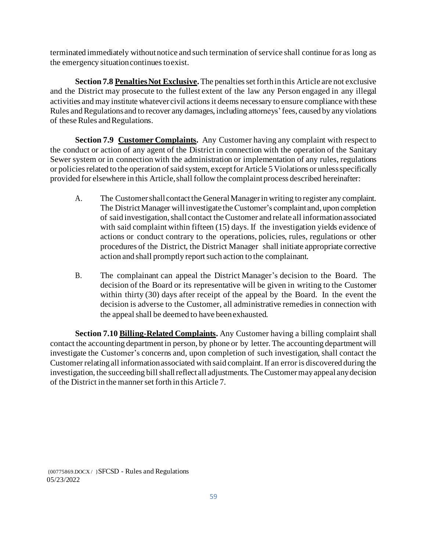terminated immediately without notice and such termination of service shall continue for as long as the emergency situation continues toexist.

**Section 7.8 Penalties Not Exclusive.** The penalties set forth in this Article are not exclusive and the District may prosecute to the fullest extent of the law any Person engaged in any illegal activities and may institute whatever civil actions it deems necessary to ensure compliance with these Rules and Regulations and to recover any damages, including attorneys' fees, caused by any violations of these Rules and Regulations.

**Section 7.9 Customer Complaints.** Any Customer having any complaint with respect to the conduct or action of any agent of the District in connection with the operation of the Sanitary Sewer system or in connection with the administration or implementation of any rules, regulations or policies related to the operation of said system, except for Article 5 Violations or unless specifically provided for elsewhere in this Article, shall follow the complaint process described hereinafter:

- A. The Customer shall contact the GeneralManagerin writing to register any complaint. The District Manager will investigate the Customer's complaint and, upon completion of said investigation, shall contact the Customer and relate all information associated with said complaint within fifteen (15) days. If the investigation yields evidence of actions or conduct contrary to the operations, policies, rules, regulations or other procedures of the District, the District Manager shall initiate appropriate corrective action and shall promptly report such action to the complainant.
- B. The complainant can appeal the District Manager's decision to the Board. The decision of the Board or its representative will be given in writing to the Customer within thirty (30) days after receipt of the appeal by the Board. In the event the decision is adverse to the Customer, all administrative remedies in connection with the appeal shall be deemed to have beenexhausted.

**Section 7.10 Billing-Related Complaints.** Any Customer having a billing complaint shall contact the accounting department in person, by phone or by letter. The accounting department will investigate the Customer's concerns and, upon completion of such investigation, shall contact the Customer relating all information associated with said complaint. If an error is discovered during the investigation, the succeeding bill shall reflect all adjustments. The Customer mayappeal anydecision of the District in the mannerset forth in this Article 7.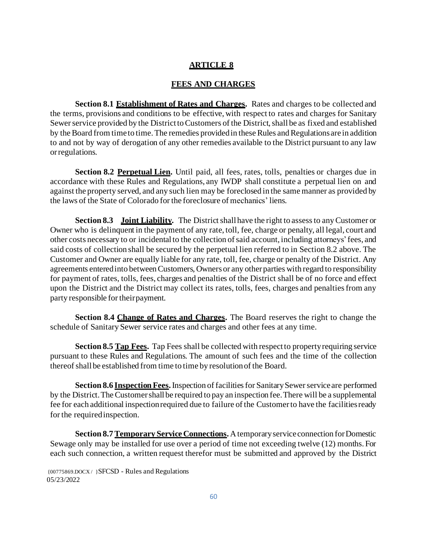#### **ARTICLE 8**

#### **FEES AND CHARGES**

**Section 8.1 Establishment of Rates and Charges.** Rates and charges to be collected and the terms, provisions and conditions to be effective, with respect to rates and charges for Sanitary Sewer service provided by the District to Customers of the District, shall be as fixed and established by the Board from time to time. The remedies provided in these Rules and Regulations are in addition to and not by way of derogation of any other remedies available to the District pursuant to any law orregulations.

Section 8.2 Perpetual Lien. Until paid, all fees, rates, tolls, penalties or charges due in accordance with these Rules and Regulations, any IWDP shall constitute a perpetual lien on and against the property served, and any such lien may be foreclosed in the same manner as provided by the laws of the State of Colorado for the foreclosure of mechanics' liens.

**Section 8.3** Joint Liability. The District shall have the right to assess to any Customer or Owner who is delinquent in the payment of any rate, toll, fee, charge or penalty, all legal, court and other costs necessary to or incidental to the collection of said account, including attorneys' fees, and said costs of collection shall be secured by the perpetual lien referred to in Section 8.2 above. The Customer and Owner are equally liable for any rate, toll, fee, charge or penalty of the District. Any agreements entered into between Customers, Owners or any other parties with regard to responsibility for payment of rates, tolls, fees, charges and penalties of the District shall be of no force and effect upon the District and the District may collect its rates, tolls, fees, charges and penalties from any party responsible for theirpayment.

**Section 8.4 Change of Rates and Charges.** The Board reserves the right to change the schedule of Sanitary Sewer service rates and charges and other fees at any time.

**Section 8.5 Tap Fees.** Tap Fees shall be collected with respect to property requiring service pursuant to these Rules and Regulations. The amount of such fees and the time of the collection thereof shall be established from time to time by resolution of the Board.

**Section 8.6 Inspection Fees.** Inspection of facilities for Sanitary Sewer service are performed by the District. The Customer shall be required to pay an inspection fee. There will be a supplemental fee for each additional inspection required due to failure of the Customer to have the facilities ready for the required inspection.

**Section 8.7 Temporary Service Connections.** A temporary service connection for Domestic Sewage only may be installed for use over a period of time not exceeding twelve (12) months. For each such connection, a written request therefor must be submitted and approved by the District